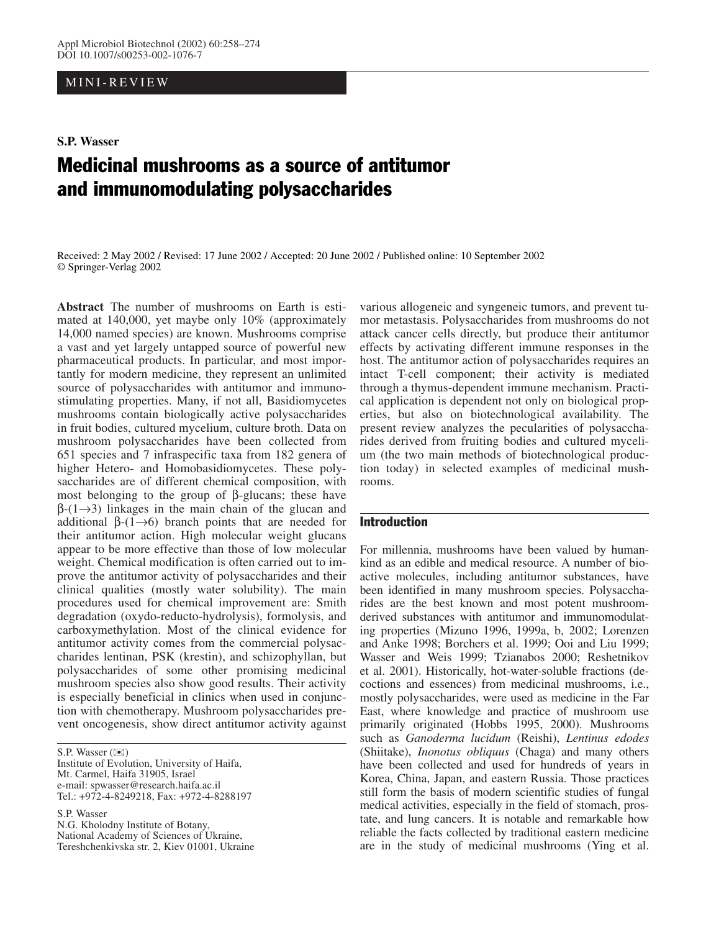## MINI-REVIEW

## **S.P. Wasser**

# Medicinal mushrooms as a source of antitumor and immunomodulating polysaccharides

Received: 2 May 2002 / Revised: 17 June 2002 / Accepted: 20 June 2002 / Published online: 10 September 2002 © Springer-Verlag 2002

**Abstract** The number of mushrooms on Earth is estimated at 140,000, yet maybe only 10% (approximately 14,000 named species) are known. Mushrooms comprise a vast and yet largely untapped source of powerful new pharmaceutical products. In particular, and most importantly for modern medicine, they represent an unlimited source of polysaccharides with antitumor and immunostimulating properties. Many, if not all, Basidiomycetes mushrooms contain biologically active polysaccharides in fruit bodies, cultured mycelium, culture broth. Data on mushroom polysaccharides have been collected from 651 species and 7 infraspecific taxa from 182 genera of higher Hetero- and Homobasidiomycetes. These polysaccharides are of different chemical composition, with most belonging to the group of β-glucans; these have  $\beta$ -(1→3) linkages in the main chain of the glucan and additional β-(1→6) branch points that are needed for their antitumor action. High molecular weight glucans appear to be more effective than those of low molecular weight. Chemical modification is often carried out to improve the antitumor activity of polysaccharides and their clinical qualities (mostly water solubility). The main procedures used for chemical improvement are: Smith degradation (oxydo-reducto-hydrolysis), formolysis, and carboxymethylation. Most of the clinical evidence for antitumor activity comes from the commercial polysaccharides lentinan, PSK (krestin), and schizophyllan, but polysaccharides of some other promising medicinal mushroom species also show good results. Their activity is especially beneficial in clinics when used in conjunction with chemotherapy. Mushroom polysaccharides prevent oncogenesis, show direct antitumor activity against

S.P. Wasser  $(\mathbb{R})$ 

Institute of Evolution, University of Haifa, Mt. Carmel, Haifa 31905, Israel e-mail: spwasser@research.haifa.ac.il Tel.: +972-4-8249218, Fax: +972-4-8288197

S.P. Wasser N.G. Kholodny Institute of Botany, National Academy of Sciences of Ukraine, Tereshchenkivska str. 2, Kiev 01001, Ukraine

various allogeneic and syngeneic tumors, and prevent tumor metastasis. Polysaccharides from mushrooms do not attack cancer cells directly, but produce their antitumor effects by activating different immune responses in the host. The antitumor action of polysaccharides requires an intact T-cell component; their activity is mediated through a thymus-dependent immune mechanism. Practical application is dependent not only on biological properties, but also on biotechnological availability. The present review analyzes the pecularities of polysaccharides derived from fruiting bodies and cultured mycelium (the two main methods of biotechnological production today) in selected examples of medicinal mushrooms.

#### Introduction

For millennia, mushrooms have been valued by humankind as an edible and medical resource. A number of bioactive molecules, including antitumor substances, have been identified in many mushroom species. Polysaccharides are the best known and most potent mushroomderived substances with antitumor and immunomodulating properties (Mizuno 1996, 1999a, b, 2002; Lorenzen and Anke 1998; Borchers et al. 1999; Ooi and Liu 1999; Wasser and Weis 1999; Tzianabos 2000; Reshetnikov et al. 2001). Historically, hot-water-soluble fractions (decoctions and essences) from medicinal mushrooms, i.e., mostly polysaccharides, were used as medicine in the Far East, where knowledge and practice of mushroom use primarily originated (Hobbs 1995, 2000). Mushrooms such as *Ganoderma lucidum* (Reishi), *Lentinus edodes* (Shiitake), *Inonotus obliquus* (Chaga) and many others have been collected and used for hundreds of years in Korea, China, Japan, and eastern Russia. Those practices still form the basis of modern scientific studies of fungal medical activities, especially in the field of stomach, prostate, and lung cancers. It is notable and remarkable how reliable the facts collected by traditional eastern medicine are in the study of medicinal mushrooms (Ying et al.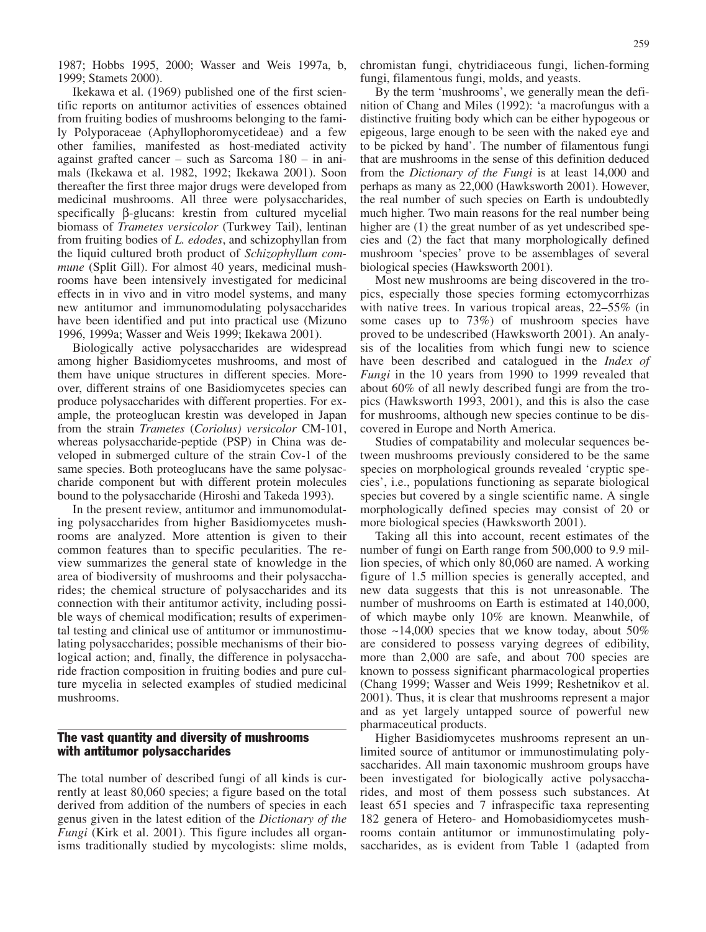1987; Hobbs 1995, 2000; Wasser and Weis 1997a, b, 1999; Stamets 2000).

Ikekawa et al. (1969) published one of the first scientific reports on antitumor activities of essences obtained from fruiting bodies of mushrooms belonging to the family Polyporaceae (Aphyllophoromycetideae) and a few other families, manifested as host-mediated activity against grafted cancer – such as Sarcoma 180 – in animals (Ikekawa et al. 1982, 1992; Ikekawa 2001). Soon thereafter the first three major drugs were developed from medicinal mushrooms. All three were polysaccharides, specifically β-glucans: krestin from cultured mycelial biomass of *Trametes versicolor* (Turkwey Tail), lentinan from fruiting bodies of *L. edodes*, and schizophyllan from the liquid cultured broth product of *Schizophyllum commune* (Split Gill). For almost 40 years, medicinal mushrooms have been intensively investigated for medicinal effects in in vivo and in vitro model systems, and many new antitumor and immunomodulating polysaccharides have been identified and put into practical use (Mizuno 1996, 1999a; Wasser and Weis 1999; Ikekawa 2001).

Biologically active polysaccharides are widespread among higher Basidiomycetes mushrooms, and most of them have unique structures in different species. Moreover, different strains of one Basidiomycetes species can produce polysaccharides with different properties. For example, the proteoglucan krestin was developed in Japan from the strain *Trametes* (*Coriolus) versicolor* CM-101, whereas polysaccharide-peptide (PSP) in China was developed in submerged culture of the strain Cov-1 of the same species. Both proteoglucans have the same polysaccharide component but with different protein molecules bound to the polysaccharide (Hiroshi and Takeda 1993).

In the present review, antitumor and immunomodulating polysaccharides from higher Basidiomycetes mushrooms are analyzed. More attention is given to their common features than to specific pecularities. The review summarizes the general state of knowledge in the area of biodiversity of mushrooms and their polysaccharides; the chemical structure of polysaccharides and its connection with their antitumor activity, including possible ways of chemical modification; results of experimental testing and clinical use of antitumor or immunostimulating polysaccharides; possible mechanisms of their biological action; and, finally, the difference in polysaccharide fraction composition in fruiting bodies and pure culture mycelia in selected examples of studied medicinal mushrooms.

## The vast quantity and diversity of mushrooms with antitumor polysaccharides

The total number of described fungi of all kinds is currently at least 80,060 species; a figure based on the total derived from addition of the numbers of species in each genus given in the latest edition of the *Dictionary of the Fungi* (Kirk et al. 2001). This figure includes all organisms traditionally studied by mycologists: slime molds, chromistan fungi, chytridiaceous fungi, lichen-forming fungi, filamentous fungi, molds, and yeasts.

By the term 'mushrooms', we generally mean the definition of Chang and Miles (1992): 'a macrofungus with a distinctive fruiting body which can be either hypogeous or epigeous, large enough to be seen with the naked eye and to be picked by hand'. The number of filamentous fungi that are mushrooms in the sense of this definition deduced from the *Dictionary of the Fungi* is at least 14,000 and perhaps as many as 22,000 (Hawksworth 2001). However, the real number of such species on Earth is undoubtedly much higher. Two main reasons for the real number being higher are (1) the great number of as yet undescribed species and (2) the fact that many morphologically defined mushroom 'species' prove to be assemblages of several biological species (Hawksworth 2001).

Most new mushrooms are being discovered in the tropics, especially those species forming ectomycorrhizas with native trees. In various tropical areas, 22–55% (in some cases up to 73%) of mushroom species have proved to be undescribed (Hawksworth 2001). An analysis of the localities from which fungi new to science have been described and catalogued in the *Index of Fungi* in the 10 years from 1990 to 1999 revealed that about 60% of all newly described fungi are from the tropics (Hawksworth 1993, 2001), and this is also the case for mushrooms, although new species continue to be discovered in Europe and North America.

Studies of compatability and molecular sequences between mushrooms previously considered to be the same species on morphological grounds revealed 'cryptic species', i.e., populations functioning as separate biological species but covered by a single scientific name. A single morphologically defined species may consist of 20 or more biological species (Hawksworth 2001).

Taking all this into account, recent estimates of the number of fungi on Earth range from 500,000 to 9.9 million species, of which only 80,060 are named. A working figure of 1.5 million species is generally accepted, and new data suggests that this is not unreasonable. The number of mushrooms on Earth is estimated at 140,000, of which maybe only 10% are known. Meanwhile, of those  $\sim$ 14,000 species that we know today, about 50% are considered to possess varying degrees of edibility, more than 2,000 are safe, and about 700 species are known to possess significant pharmacological properties (Chang 1999; Wasser and Weis 1999; Reshetnikov et al. 2001). Thus, it is clear that mushrooms represent a major and as yet largely untapped source of powerful new pharmaceutical products.

Higher Basidiomycetes mushrooms represent an unlimited source of antitumor or immunostimulating polysaccharides. All main taxonomic mushroom groups have been investigated for biologically active polysaccharides, and most of them possess such substances. At least 651 species and 7 infraspecific taxa representing 182 genera of Hetero- and Homobasidiomycetes mushrooms contain antitumor or immunostimulating polysaccharides, as is evident from Table 1 (adapted from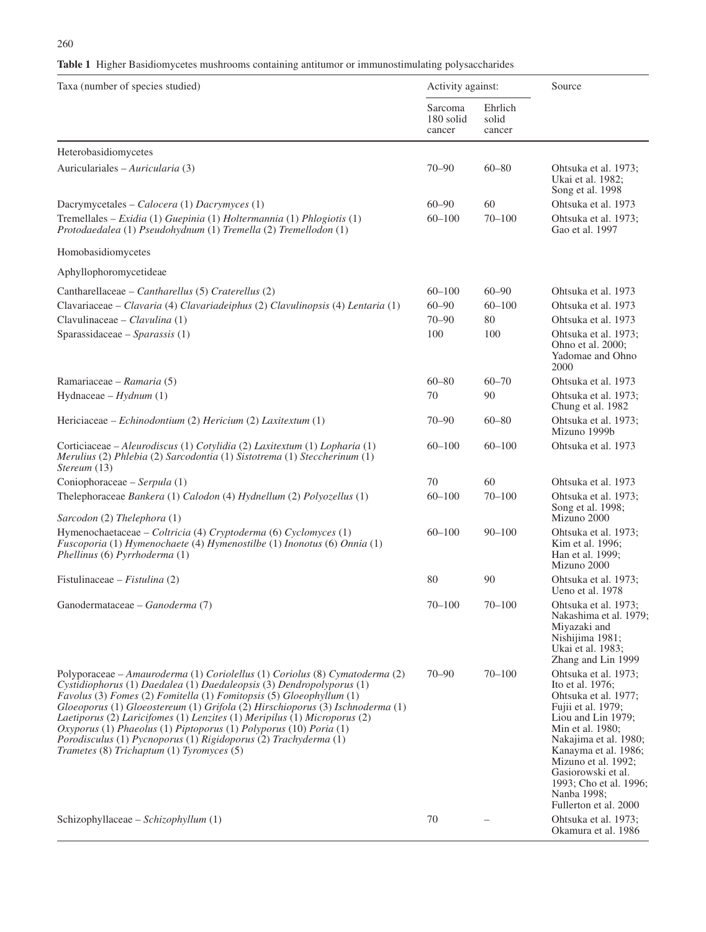## 260

## **Table 1** Higher Basidiomycetes mushrooms containing antitumor or immunostimulating polysaccharides

| Taxa (number of species studied)                                                                                                                                                                                                                                                                                                                                                                                                                                                                                                                                             | Activity against:              |                            | Source                                                                                                                                                                                                                                                                                           |
|------------------------------------------------------------------------------------------------------------------------------------------------------------------------------------------------------------------------------------------------------------------------------------------------------------------------------------------------------------------------------------------------------------------------------------------------------------------------------------------------------------------------------------------------------------------------------|--------------------------------|----------------------------|--------------------------------------------------------------------------------------------------------------------------------------------------------------------------------------------------------------------------------------------------------------------------------------------------|
|                                                                                                                                                                                                                                                                                                                                                                                                                                                                                                                                                                              | Sarcoma<br>180 solid<br>cancer | Ehrlich<br>solid<br>cancer |                                                                                                                                                                                                                                                                                                  |
| Heterobasidiomycetes                                                                                                                                                                                                                                                                                                                                                                                                                                                                                                                                                         |                                |                            |                                                                                                                                                                                                                                                                                                  |
| Auriculariales - Auricularia (3)                                                                                                                                                                                                                                                                                                                                                                                                                                                                                                                                             | $70 - 90$                      | $60 - 80$                  | Ohtsuka et al. 1973;<br>Ukai et al. 1982;<br>Song et al. 1998                                                                                                                                                                                                                                    |
| Dacrymycetales - Calocera (1) Dacrymyces (1)                                                                                                                                                                                                                                                                                                                                                                                                                                                                                                                                 | $60 - 90$                      | 60                         | Ohtsuka et al. 1973                                                                                                                                                                                                                                                                              |
| Tremellales – Exidia (1) Guepinia (1) Holtermannia (1) Phlogiotis (1)<br>Protodaedalea (1) Pseudohydnum (1) Tremella (2) Tremellodon (1)                                                                                                                                                                                                                                                                                                                                                                                                                                     | $60 - 100$                     | $70 - 100$                 | Ohtsuka et al. 1973;<br>Gao et al. 1997                                                                                                                                                                                                                                                          |
| Homobasidiomycetes                                                                                                                                                                                                                                                                                                                                                                                                                                                                                                                                                           |                                |                            |                                                                                                                                                                                                                                                                                                  |
| Aphyllophoromycetideae                                                                                                                                                                                                                                                                                                                                                                                                                                                                                                                                                       |                                |                            |                                                                                                                                                                                                                                                                                                  |
| Cantharellaceae – Cantharellus (5) Craterellus (2)                                                                                                                                                                                                                                                                                                                                                                                                                                                                                                                           | $60 - 100$                     | $60 - 90$                  | Ohtsuka et al. 1973                                                                                                                                                                                                                                                                              |
| Clavariaceae - Clavaria (4) Clavariadeiphus (2) Clavulinopsis (4) Lentaria (1)                                                                                                                                                                                                                                                                                                                                                                                                                                                                                               | $60 - 90$                      | $60 - 100$                 | Ohtsuka et al. 1973                                                                                                                                                                                                                                                                              |
| Clavulinaceae – Clavulina $(1)$                                                                                                                                                                                                                                                                                                                                                                                                                                                                                                                                              | $70 - 90$                      | 80                         | Ohtsuka et al. 1973                                                                                                                                                                                                                                                                              |
| Sparassidaceae – Sparassis $(1)$                                                                                                                                                                                                                                                                                                                                                                                                                                                                                                                                             | 100                            | 100                        | Ohtsuka et al. 1973;<br>Ohno et al. 2000;<br>Yadomae and Ohno<br>2000                                                                                                                                                                                                                            |
| Ramariaceae – Ramaria (5)                                                                                                                                                                                                                                                                                                                                                                                                                                                                                                                                                    | $60 - 80$                      | $60 - 70$                  | Ohtsuka et al. 1973                                                                                                                                                                                                                                                                              |
| Hydnaceae $-Hydnum(1)$                                                                                                                                                                                                                                                                                                                                                                                                                                                                                                                                                       | 70                             | 90                         | Ohtsuka et al. 1973;<br>Chung et al. 1982                                                                                                                                                                                                                                                        |
| Hericiaceae – Echinodontium (2) Hericium (2) Laxitextum (1)                                                                                                                                                                                                                                                                                                                                                                                                                                                                                                                  | $70 - 90$                      | $60 - 80$                  | Ohtsuka et al. 1973;<br>Mizuno 1999b                                                                                                                                                                                                                                                             |
| Corticiaceae – Aleurodiscus (1) Cotylidia (2) Laxitextum (1) Lopharia (1)<br>Merulius (2) Phlebia (2) Sarcodontia (1) Sistotrema (1) Steccherinum (1)<br>Stereum (13)                                                                                                                                                                                                                                                                                                                                                                                                        | $60 - 100$                     | $60 - 100$                 | Ohtsuka et al. 1973                                                                                                                                                                                                                                                                              |
| Coniophoraceae - Serpula (1)                                                                                                                                                                                                                                                                                                                                                                                                                                                                                                                                                 | 70                             | 60                         | Ohtsuka et al. 1973                                                                                                                                                                                                                                                                              |
| Thelephoraceae Bankera (1) Calodon (4) Hydnellum (2) Polyozellus (1)                                                                                                                                                                                                                                                                                                                                                                                                                                                                                                         | $60 - 100$                     | $70 - 100$                 | Ohtsuka et al. 1973;<br>Song et al. 1998;                                                                                                                                                                                                                                                        |
| Sarcodon (2) Thelephora (1)                                                                                                                                                                                                                                                                                                                                                                                                                                                                                                                                                  |                                |                            | Mizuno 2000                                                                                                                                                                                                                                                                                      |
| Hymenochaetaceae – Coltricia (4) Cryptoderma (6) Cyclomyces (1)<br>Fuscoporia (1) Hymenochaete (4) Hymenostilbe (1) Inonotus (6) Onnia (1)<br>Phellinus (6) Pyrrhoderma (1)                                                                                                                                                                                                                                                                                                                                                                                                  | $60 - 100$                     | $90 - 100$                 | Ohtsuka et al. 1973;<br>Kim et al. 1996;<br>Han et al. 1999;<br>Mizuno 2000                                                                                                                                                                                                                      |
| Fistulinaceae – Fistulina $(2)$                                                                                                                                                                                                                                                                                                                                                                                                                                                                                                                                              | 80                             | 90                         | Ohtsuka et al. 1973;<br>Ueno et al. 1978                                                                                                                                                                                                                                                         |
| Ganodermataceae – Ganoderma (7)                                                                                                                                                                                                                                                                                                                                                                                                                                                                                                                                              | $70 - 100$                     | $70 - 100$                 | Ohtsuka et al. 1973:<br>Nakashima et al. 1979;<br>Miyazaki and<br>Nishijima 1981;<br>Ukai et al. 1983;<br>Zhang and Lin 1999                                                                                                                                                                     |
| Polyporaceae – Amauroderma (1) Coriolellus (1) Coriolus (8) Cymatoderma (2)<br>Cystidiophorus (1) Daedalea (1) Daedaleopsis (3) Dendropolyporus (1)<br>Favolus (3) Fomes (2) Fomitella (1) Fomitopsis (5) Gloeophyllum (1)<br>Gloeoporus (1) Gloeostereum (1) Grifola (2) Hirschioporus (3) Ischnoderma (1)<br>Laetiporus (2) Laricifomes (1) Lenzites (1) Meripilus (1) Microporus (2)<br>Oxyporus (1) Phaeolus (1) Piptoporus (1) Polyporus (10) Poria (1)<br>Porodisculus (1) Pycnoporus (1) Rigidoporus (2) Trachyderma (1)<br>Trametes (8) Trichaptum (1) Tyromyces (5) | $70 - 90$                      | $70 - 100$                 | Ohtsuka et al. 1973;<br>Ito et al. 1976;<br>Ohtsuka et al. 1977;<br>Fujii et al. 1979;<br>Liou and Lin 1979;<br>Min et al. 1980;<br>Nakajima et al. 1980;<br>Kanayma et al. 1986;<br>Mizuno et al. 1992;<br>Gasiorowski et al.<br>1993; Cho et al. 1996;<br>Nanba 1998;<br>Fullerton et al. 2000 |
| Schizophyllaceae - Schizophyllum (1)                                                                                                                                                                                                                                                                                                                                                                                                                                                                                                                                         | 70                             |                            | Ohtsuka et al. 1973;<br>Okamura et al. 1986                                                                                                                                                                                                                                                      |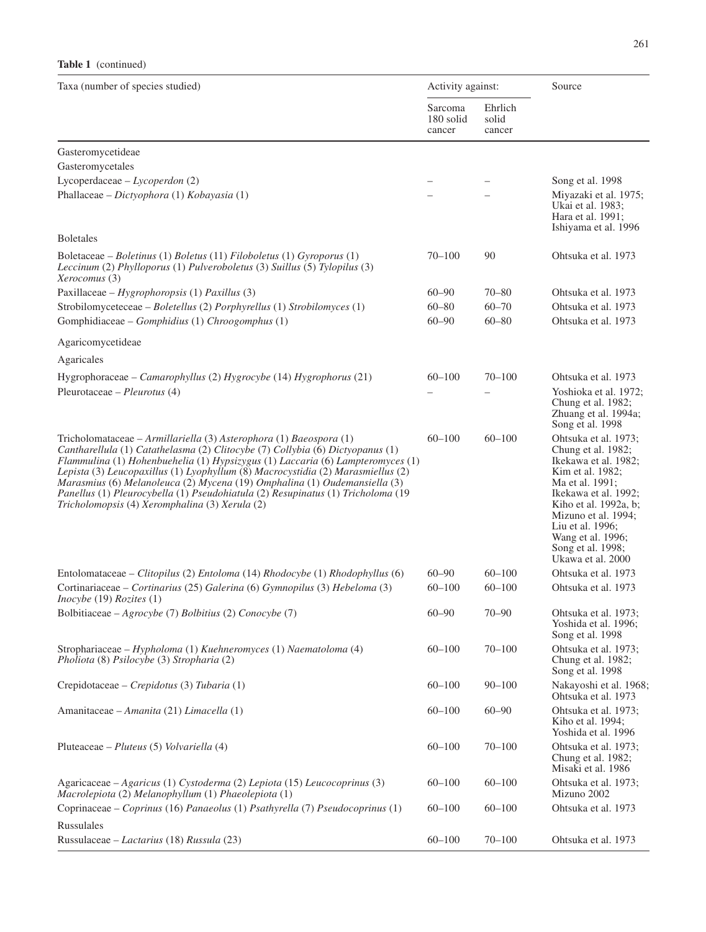## **Table 1** (continued)

| Taxa (number of species studied)                                                                                                                                                                                                                                                                                                                                                                                                                                                                                                           |                                | Activity against:          | Source                                                                                                                                                                                                                                                               |
|--------------------------------------------------------------------------------------------------------------------------------------------------------------------------------------------------------------------------------------------------------------------------------------------------------------------------------------------------------------------------------------------------------------------------------------------------------------------------------------------------------------------------------------------|--------------------------------|----------------------------|----------------------------------------------------------------------------------------------------------------------------------------------------------------------------------------------------------------------------------------------------------------------|
|                                                                                                                                                                                                                                                                                                                                                                                                                                                                                                                                            | Sarcoma<br>180 solid<br>cancer | Ehrlich<br>solid<br>cancer |                                                                                                                                                                                                                                                                      |
| Gasteromycetideae                                                                                                                                                                                                                                                                                                                                                                                                                                                                                                                          |                                |                            |                                                                                                                                                                                                                                                                      |
| Gasteromycetales                                                                                                                                                                                                                                                                                                                                                                                                                                                                                                                           |                                |                            |                                                                                                                                                                                                                                                                      |
| Lycoperdaceae - Lycoperdon (2)<br>Phallaceae - Dictyophora (1) Kobayasia (1)                                                                                                                                                                                                                                                                                                                                                                                                                                                               |                                |                            | Song et al. 1998<br>Miyazaki et al. 1975;<br>Ukai et al. 1983;<br>Hara et al. 1991;<br>Ishiyama et al. 1996                                                                                                                                                          |
| <b>Boletales</b>                                                                                                                                                                                                                                                                                                                                                                                                                                                                                                                           |                                |                            |                                                                                                                                                                                                                                                                      |
| Boletaceae – Boletinus (1) Boletus (11) Filoboletus (1) Gyroporus (1)<br>Leccinum (2) Phylloporus (1) Pulveroboletus (3) Suillus (5) Tylopilus (3)<br>Xerocomus (3)                                                                                                                                                                                                                                                                                                                                                                        | $70 - 100$                     | 90                         | Ohtsuka et al. 1973                                                                                                                                                                                                                                                  |
| Paxillaceae – Hygrophoropsis $(1)$ Paxillus $(3)$                                                                                                                                                                                                                                                                                                                                                                                                                                                                                          | $60 - 90$                      | $70 - 80$                  | Ohtsuka et al. 1973                                                                                                                                                                                                                                                  |
| Strobilomyceteceae - Boletellus (2) Porphyrellus (1) Strobilomyces (1)                                                                                                                                                                                                                                                                                                                                                                                                                                                                     | $60 - 80$                      | $60 - 70$                  | Ohtsuka et al. 1973                                                                                                                                                                                                                                                  |
| Gomphidiaceae – Gomphidius (1) Chroogomphus (1)                                                                                                                                                                                                                                                                                                                                                                                                                                                                                            | $60 - 90$                      | $60 - 80$                  | Ohtsuka et al. 1973                                                                                                                                                                                                                                                  |
| Agaricomycetideae                                                                                                                                                                                                                                                                                                                                                                                                                                                                                                                          |                                |                            |                                                                                                                                                                                                                                                                      |
| Agaricales                                                                                                                                                                                                                                                                                                                                                                                                                                                                                                                                 |                                |                            |                                                                                                                                                                                                                                                                      |
| Hygrophoraceae – Camarophyllus (2) Hygrocybe (14) Hygrophorus (21)<br>Pleurotaceae – Pleurotus $(4)$                                                                                                                                                                                                                                                                                                                                                                                                                                       | $60 - 100$                     | $70 - 100$                 | Ohtsuka et al. 1973<br>Yoshioka et al. 1972;<br>Chung et al. 1982;<br>Zhuang et al. 1994a;<br>Song et al. 1998                                                                                                                                                       |
| Tricholomataceae – Armillariella (3) Asterophora (1) Baeospora (1)<br>Cantharellula (1) Catathelasma (2) Clitocybe (7) Collybia (6) Dictyopanus (1)<br>Flammulina (1) Hohenbuehelia (1) Hypsizygus (1) Laccaria (6) Lampteromyces (1)<br>Lepista (3) Leucopaxillus (1) Lyophyllum (8) Macrocystidia (2) Marasmiellus (2)<br>Marasmius (6) Melanoleuca (2) Mycena (19) Omphalina (1) Oudemansiella (3)<br>Panellus (1) Pleurocybella (1) Pseudohiatula (2) Resupinatus (1) Tricholoma (19<br>Tricholomopsis (4) Xeromphalina (3) Xerula (2) | $60 - 100$                     | $60 - 100$                 | Ohtsuka et al. 1973;<br>Chung et al. 1982;<br>Ikekawa et al. 1982;<br>Kim et al. 1982;<br>Ma et al. 1991;<br>Ikekawa et al. 1992;<br>Kiho et al. 1992a, b;<br>Mizuno et al. 1994;<br>Liu et al. 1996;<br>Wang et al. 1996;<br>Song et al. 1998;<br>Ukawa et al. 2000 |
| Entolomataceae – Clitopilus (2) Entoloma (14) Rhodocybe (1) Rhodophyllus (6)                                                                                                                                                                                                                                                                                                                                                                                                                                                               | $60 - 90$                      | $60 - 100$                 | Ohtsuka et al. 1973                                                                                                                                                                                                                                                  |
| Cortinariaceae - Cortinarius (25) Galerina (6) Gymnopilus (3) Hebeloma (3)<br><i>Inocybe</i> $(19)$ <i>Rozites</i> $(1)$                                                                                                                                                                                                                                                                                                                                                                                                                   | $60 - 100$                     | $60 - 100$                 | Ohtsuka et al. 1973                                                                                                                                                                                                                                                  |
| Bolbitiaceae - Agrocybe (7) Bolbitius (2) Conocybe (7)                                                                                                                                                                                                                                                                                                                                                                                                                                                                                     | $60 - 90$                      | $70 - 90$                  | Ohtsuka et al. 1973;<br>Yoshida et al. 1996;<br>Song et al. 1998                                                                                                                                                                                                     |
| Strophariaceae – Hypholoma (1) Kuehneromyces (1) Naematoloma (4)<br>Pholiota (8) Psilocybe (3) Stropharia (2)                                                                                                                                                                                                                                                                                                                                                                                                                              | $60 - 100$                     | $70 - 100$                 | Ohtsuka et al. 1973;<br>Chung et al. 1982;<br>Song et al. 1998                                                                                                                                                                                                       |
| Crepidotaceae - Crepidotus (3) Tubaria (1)                                                                                                                                                                                                                                                                                                                                                                                                                                                                                                 | $60 - 100$                     | $90 - 100$                 | Nakayoshi et al. 1968;<br>Ohtsuka et al. 1973                                                                                                                                                                                                                        |
| Amanitaceae - Amanita (21) Limacella (1)                                                                                                                                                                                                                                                                                                                                                                                                                                                                                                   | $60 - 100$                     | $60 - 90$                  | Ohtsuka et al. 1973;<br>Kiho et al. 1994;<br>Yoshida et al. 1996                                                                                                                                                                                                     |
| Pluteaceae – Pluteus (5) Volvariella (4)                                                                                                                                                                                                                                                                                                                                                                                                                                                                                                   | $60 - 100$                     | $70 - 100$                 | Ohtsuka et al. 1973;<br>Chung et al. 1982;<br>Misaki et al. 1986                                                                                                                                                                                                     |
| Agaricaceae – Agaricus (1) Cystoderma (2) Lepiota (15) Leucocoprinus (3)<br>Macrolepiota (2) Melanophyllum (1) Phaeolepiota (1)                                                                                                                                                                                                                                                                                                                                                                                                            | $60 - 100$                     | $60 - 100$                 | Ohtsuka et al. 1973;<br>Mizuno 2002                                                                                                                                                                                                                                  |
| Coprinaceae - Coprinus (16) Panaeolus (1) Psathyrella (7) Pseudocoprinus (1)                                                                                                                                                                                                                                                                                                                                                                                                                                                               | $60 - 100$                     | $60 - 100$                 | Ohtsuka et al. 1973                                                                                                                                                                                                                                                  |
| Russulales<br>Russulaceae - Lactarius (18) Russula (23)                                                                                                                                                                                                                                                                                                                                                                                                                                                                                    | $60 - 100$                     | $70 - 100$                 | Ohtsuka et al. 1973                                                                                                                                                                                                                                                  |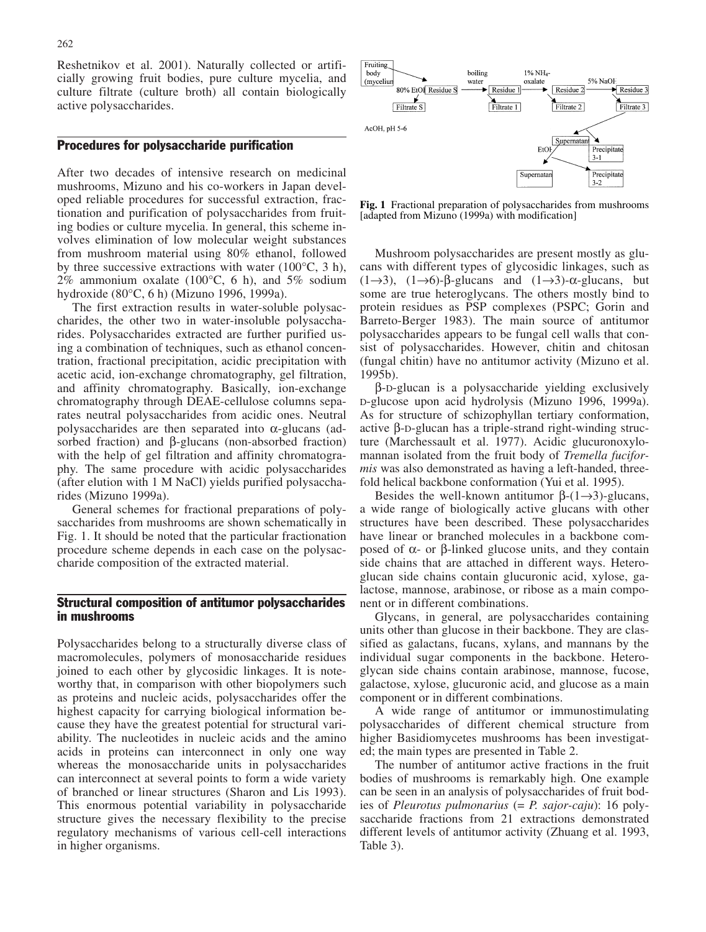Reshetnikov et al. 2001). Naturally collected or artificially growing fruit bodies, pure culture mycelia, and culture filtrate (culture broth) all contain biologically active polysaccharides.

#### Procedures for polysaccharide purification

After two decades of intensive research on medicinal mushrooms, Mizuno and his co-workers in Japan developed reliable procedures for successful extraction, fractionation and purification of polysaccharides from fruiting bodies or culture mycelia. In general, this scheme involves elimination of low molecular weight substances from mushroom material using 80% ethanol, followed by three successive extractions with water (100°C, 3 h), 2% ammonium oxalate (100 $\degree$ C, 6 h), and 5% sodium hydroxide (80°C, 6 h) (Mizuno 1996, 1999a).

The first extraction results in water-soluble polysaccharides, the other two in water-insoluble polysaccharides. Polysaccharides extracted are further purified using a combination of techniques, such as ethanol concentration, fractional precipitation, acidic precipitation with acetic acid, ion-exchange chromatography, gel filtration, and affinity chromatography. Basically, ion-exchange chromatography through DEAE-cellulose columns separates neutral polysaccharides from acidic ones. Neutral polysaccharides are then separated into  $\alpha$ -glucans (adsorbed fraction) and β-glucans (non-absorbed fraction) with the help of gel filtration and affinity chromatography. The same procedure with acidic polysaccharides (after elution with 1 M NaCl) yields purified polysaccharides (Mizuno 1999a).

General schemes for fractional preparations of polysaccharides from mushrooms are shown schematically in Fig. 1. It should be noted that the particular fractionation procedure scheme depends in each case on the polysaccharide composition of the extracted material.

#### Structural composition of antitumor polysaccharides in mushrooms

Polysaccharides belong to a structurally diverse class of macromolecules, polymers of monosaccharide residues joined to each other by glycosidic linkages. It is noteworthy that, in comparison with other biopolymers such as proteins and nucleic acids, polysaccharides offer the highest capacity for carrying biological information because they have the greatest potential for structural variability. The nucleotides in nucleic acids and the amino acids in proteins can interconnect in only one way whereas the monosaccharide units in polysaccharides can interconnect at several points to form a wide variety of branched or linear structures (Sharon and Lis 1993). This enormous potential variability in polysaccharide structure gives the necessary flexibility to the precise regulatory mechanisms of various cell-cell interactions in higher organisms.



**Fig. 1** Fractional preparation of polysaccharides from mushrooms [adapted from Mizuno (1999a) with modification]

Mushroom polysaccharides are present mostly as glucans with different types of glycosidic linkages, such as (1→3), (1→6)- $\beta$ -glucans and (1→3)- $\alpha$ -glucans, but some are true heteroglycans. The others mostly bind to protein residues as PSP complexes (PSPC; Gorin and Barreto-Berger 1983). The main source of antitumor polysaccharides appears to be fungal cell walls that consist of polysaccharides. However, chitin and chitosan (fungal chitin) have no antitumor activity (Mizuno et al. 1995b).

β-D-glucan is a polysaccharide yielding exclusively D-glucose upon acid hydrolysis (Mizuno 1996, 1999a). As for structure of schizophyllan tertiary conformation, active β-D-glucan has a triple-strand right-winding structure (Marchessault et al. 1977). Acidic glucuronoxylomannan isolated from the fruit body of *Tremella fuciformis* was also demonstrated as having a left-handed, threefold helical backbone conformation (Yui et al. 1995).

Besides the well-known antitumor  $\beta$ -(1→3)-glucans, a wide range of biologically active glucans with other structures have been described. These polysaccharides have linear or branched molecules in a backbone composed of  $\alpha$ - or β-linked glucose units, and they contain side chains that are attached in different ways. Heteroglucan side chains contain glucuronic acid, xylose, galactose, mannose, arabinose, or ribose as a main component or in different combinations.

Glycans, in general, are polysaccharides containing units other than glucose in their backbone. They are classified as galactans, fucans, xylans, and mannans by the individual sugar components in the backbone. Heteroglycan side chains contain arabinose, mannose, fucose, galactose, xylose, glucuronic acid, and glucose as a main component or in different combinations.

A wide range of antitumor or immunostimulating polysaccharides of different chemical structure from higher Basidiomycetes mushrooms has been investigated; the main types are presented in Table 2.

The number of antitumor active fractions in the fruit bodies of mushrooms is remarkably high. One example can be seen in an analysis of polysaccharides of fruit bodies of *Pleurotus pulmonarius* (= *P. sajor-caju*): 16 polysaccharide fractions from 21 extractions demonstrated different levels of antitumor activity (Zhuang et al. 1993, Table 3).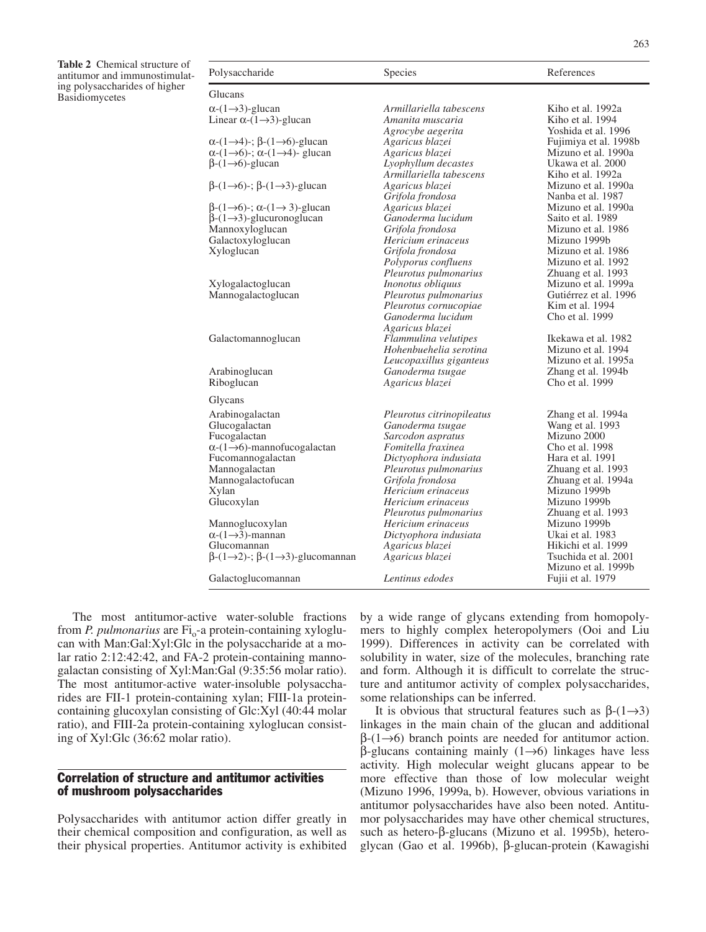**Table 2** Chemical structure of antitumor and immunostimulating polysaccharides of higher Basidiomycetes

| Polysaccharide                                                            | Species                                     | References                          |
|---------------------------------------------------------------------------|---------------------------------------------|-------------------------------------|
| Glucans                                                                   |                                             |                                     |
| $\alpha$ - $(1\rightarrow 3)$ -glucan                                     | Armillariella tabescens                     | Kiho et al. 1992a                   |
| Linear $\alpha$ - $(1\rightarrow 3)$ -glucan                              | Amanita muscaria                            | Kiho et al. 1994                    |
|                                                                           | Agrocybe aegerita                           | Yoshida et al. 1996                 |
| $\alpha$ -(1→4)-; $\beta$ -(1→6)-glucan                                   | Agaricus blazei                             | Fujimiya et al. 1998b               |
| $\alpha$ -(1→6)-; $\alpha$ -(1→4)- glucan                                 | Agaricus blazei                             | Mizuno et al. 1990a                 |
| $\beta$ - $(1\rightarrow 6)$ -glucan                                      | Lyophyllum decastes                         | Ukawa et al. 2000                   |
|                                                                           | Armillariella tabescens                     | Kiho et al. 1992a                   |
| $\beta$ - $(1\rightarrow 6)$ -; $\beta$ - $(1\rightarrow 3)$ -glucan      | Agaricus blazei                             | Mizuno et al. 1990a                 |
|                                                                           | Grifola frondosa                            | Nanba et al. 1987                   |
| $\beta$ - $(1\rightarrow 6)$ -; $\alpha$ - $(1\rightarrow 3)$ -glucan     | Agaricus blazei                             | Mizuno et al. 1990a                 |
| $\beta$ -(1->3)-glucuronoglucan                                           | Ganoderma lucidum                           | Saito et al. 1989                   |
| Mannoxyloglucan                                                           | Grifola frondosa                            | Mizuno et al. 1986                  |
| Galactoxyloglucan                                                         | Hericium erinaceus                          | Mizuno 1999b                        |
| Xyloglucan                                                                | Grifola frondosa                            | Mizuno et al. 1986                  |
|                                                                           | Polyporus confluens                         | Mizuno et al. 1992                  |
|                                                                           | Pleurotus pulmonarius                       | Zhuang et al. 1993                  |
| Xylogalactoglucan                                                         | <i>Inonotus obliquus</i>                    | Mizuno et al. 1999a                 |
| Mannogalactoglucan                                                        | Pleurotus pulmonarius                       | Gutiérrez et al. 1996               |
|                                                                           | Pleurotus cornucopiae                       | Kim et al. 1994                     |
|                                                                           | Ganoderma lucidum<br>Agaricus blazei        | Cho et al. 1999                     |
| Galactomannoglucan                                                        | Flammulina velutipes                        | Ikekawa et al. 1982                 |
|                                                                           | Hohenbuehelia serotina                      | Mizuno et al. 1994                  |
|                                                                           | Leucopaxillus giganteus                     | Mizuno et al. 1995a                 |
| Arabinoglucan                                                             | Ganoderma tsugae                            | Zhang et al. 1994b                  |
| Riboglucan                                                                | Agaricus blazei                             | Cho et al. 1999                     |
|                                                                           |                                             |                                     |
| Glycans                                                                   |                                             |                                     |
| Arabinogalactan                                                           | Pleurotus citrinopileatus                   | Zhang et al. 1994a                  |
| Glucogalactan                                                             | Ganoderma tsugae                            | Wang et al. 1993                    |
| Fucogalactan                                                              | Sarcodon aspratus                           | Mizuno 2000                         |
| $\alpha$ - $(1\rightarrow 6)$ -mannofucogalactan                          | Fomitella fraxinea<br>Dictyophora indusiata | Cho et al. 1998<br>Hara et al. 1991 |
| Fucomannogalactan<br>Mannogalactan                                        | Pleurotus pulmonarius                       | Zhuang et al. 1993                  |
| Mannogalactofucan                                                         | Grifola frondosa                            | Zhuang et al. 1994a                 |
| Xylan                                                                     | Hericium erinaceus                          | Mizuno 1999b                        |
| Glucoxylan                                                                | Hericium erinaceus                          | Mizuno 1999b                        |
|                                                                           | Pleurotus pulmonarius                       | Zhuang et al. 1993                  |
| Mannoglucoxylan                                                           | Hericium erinaceus                          | Mizuno 1999b                        |
| $\alpha$ - $(1\rightarrow 3)$ -mannan                                     | Dictyophora indusiata                       | Ukai et al. 1983                    |
| Glucomannan                                                               | Agaricus blazei                             | Hikichi et al. 1999                 |
| $\beta$ - $(1\rightarrow 2)$ -; $\beta$ - $(1\rightarrow 3)$ -glucomannan | Agaricus blazei                             | Tsuchida et al. 2001                |
|                                                                           |                                             | Mizuno et al. 1999b                 |
| Galactoglucomannan                                                        | Lentinus edodes                             | Fujii et al. 1979                   |
|                                                                           |                                             |                                     |

The most antitumor-active water-soluble fractions from *P. pulmonarius* are Fi<sub>o</sub>-a protein-containing xyloglucan with Man:Gal:Xyl:Glc in the polysaccharide at a molar ratio 2:12:42:42, and FA-2 protein-containing mannogalactan consisting of Xyl:Man:Gal (9:35:56 molar ratio). The most antitumor-active water-insoluble polysaccharides are FII-1 protein-containing xylan; FIII-1a proteincontaining glucoxylan consisting of Glc:Xyl (40:44 molar ratio), and FIII-2a protein-containing xyloglucan consisting of Xyl:Glc (36:62 molar ratio).

## Correlation of structure and antitumor activities of mushroom polysaccharides

Polysaccharides with antitumor action differ greatly in their chemical composition and configuration, as well as their physical properties. Antitumor activity is exhibited by a wide range of glycans extending from homopolymers to highly complex heteropolymers (Ooi and Liu 1999). Differences in activity can be correlated with solubility in water, size of the molecules, branching rate and form. Although it is difficult to correlate the structure and antitumor activity of complex polysaccharides, some relationships can be inferred.

It is obvious that structural features such as  $\beta$ -(1→3) linkages in the main chain of the glucan and additional β-(1→6) branch points are needed for antitumor action. β-glucans containing mainly (1→6) linkages have less activity. High molecular weight glucans appear to be more effective than those of low molecular weight (Mizuno 1996, 1999a, b). However, obvious variations in antitumor polysaccharides have also been noted. Antitumor polysaccharides may have other chemical structures, such as hetero-β-glucans (Mizuno et al. 1995b), heteroglycan (Gao et al. 1996b), β-glucan-protein (Kawagishi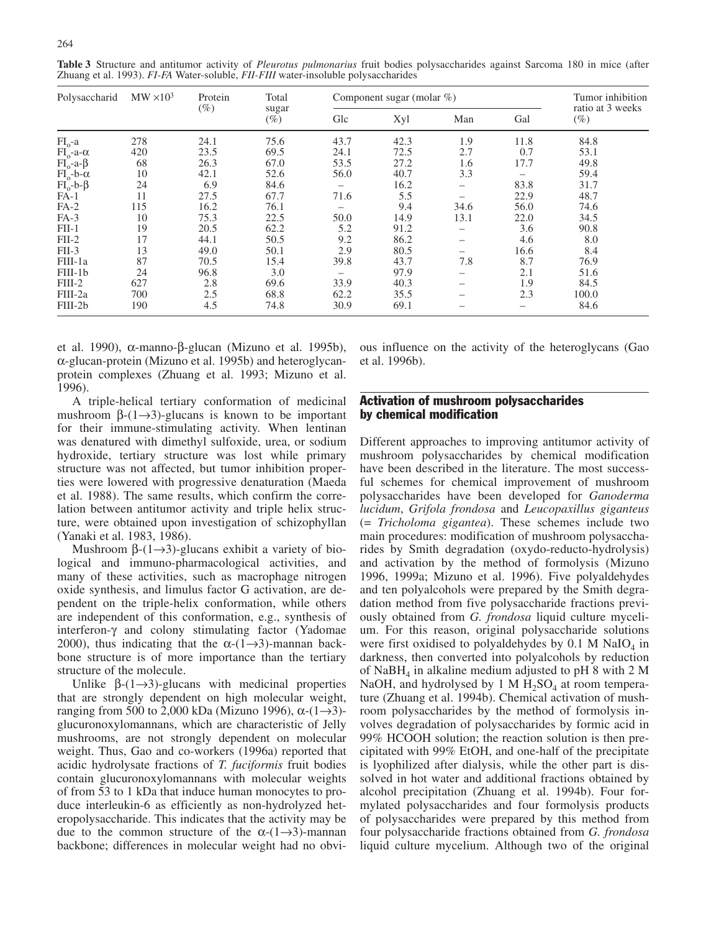| Polysaccharid        | $MW \times 10^3$ | Protein<br>$(\%)$ | Total           | Component sugar (molar $\%$ ) |      |      |      | Tumor inhibition           |
|----------------------|------------------|-------------------|-----------------|-------------------------------|------|------|------|----------------------------|
|                      |                  |                   | sugar<br>$(\%)$ | Glc                           | Xyl  | Man  | Gal  | ratio at 3 weeks<br>$(\%)$ |
| $FIo - a$            | 278              | 24.1              | 75.6            | 43.7                          | 42.3 | 1.9  | 11.8 | 84.8                       |
| $FIo$ -a- $\alpha$   | 420              | 23.5              | 69.5            | 24.1                          | 72.5 | 2.7  | 0.7  | 53.1                       |
| $FI_0^-$ -a- $\beta$ | 68               | 26.3              | 67.0            | 53.5                          | 27.2 | 1.6  | 17.7 | 49.8                       |
| $FI_0-b-\alpha$      | 10               | 42.1              | 52.6            | 56.0                          | 40.7 | 3.3  |      | 59.4                       |
| $FI_0-b-\beta$       | 24               | 6.9               | 84.6            |                               | 16.2 | -    | 83.8 | 31.7                       |
| $FA-1$               | 11               | 27.5              | 67.7            | 71.6                          | 5.5  |      | 22.9 | 48.7                       |
| $FA-2$               | 115              | 16.2              | 76.1            |                               | 9.4  | 34.6 | 56.0 | 74.6                       |
| $FA-3$               | 10               | 75.3              | 22.5            | 50.0                          | 14.9 | 13.1 | 22.0 | 34.5                       |
| $FII-1$              | 19               | 20.5              | 62.2            | 5.2                           | 91.2 |      | 3.6  | 90.8                       |
| $FII-2$              | 17               | 44.1              | 50.5            | 9.2                           | 86.2 |      | 4.6  | 8.0                        |
| $FII-3$              | 13               | 49.0              | 50.1            | 2.9                           | 80.5 |      | 16.6 | 8.4                        |
| FIII-1a              | 87               | 70.5              | 15.4            | 39.8                          | 43.7 | 7.8  | 8.7  | 76.9                       |
| $FIII-1b$            | 24               | 96.8              | 3.0             |                               | 97.9 |      | 2.1  | 51.6                       |
| $FIII-2$             | 627              | 2.8               | 69.6            | 33.9                          | 40.3 | -    | 1.9  | 84.5                       |
| FIII-2a              | 700              | 2.5               | 68.8            | 62.2                          | 35.5 |      | 2.3  | 100.0                      |
| $FIII-2b$            | 190              | 4.5               | 74.8            | 30.9                          | 69.1 |      |      | 84.6                       |

**Table 3** Structure and antitumor activity of *Pleurotus pulmonarius* fruit bodies polysaccharides against Sarcoma 180 in mice (after Zhuang et al. 1993). *FI-FA* Water-soluble, *FII-FIII* water-insoluble polysaccharides

et al. 1990), α-manno-β-glucan (Mizuno et al. 1995b), α-glucan-protein (Mizuno et al. 1995b) and heteroglycanprotein complexes (Zhuang et al. 1993; Mizuno et al. 1996).

A triple-helical tertiary conformation of medicinal mushroom  $\beta$ -(1→3)-glucans is known to be important for their immune-stimulating activity. When lentinan was denatured with dimethyl sulfoxide, urea, or sodium hydroxide, tertiary structure was lost while primary structure was not affected, but tumor inhibition properties were lowered with progressive denaturation (Maeda et al. 1988). The same results, which confirm the correlation between antitumor activity and triple helix structure, were obtained upon investigation of schizophyllan (Yanaki et al. 1983, 1986).

Mushroom β-(1→3)-glucans exhibit a variety of biological and immuno-pharmacological activities, and many of these activities, such as macrophage nitrogen oxide synthesis, and limulus factor G activation, are dependent on the triple-helix conformation, while others are independent of this conformation, e.g., synthesis of interferon-γ and colony stimulating factor (Yadomae 2000), thus indicating that the  $\alpha$ -(1→3)-mannan backbone structure is of more importance than the tertiary structure of the molecule.

Unlike  $\beta$ -(1→3)-glucans with medicinal properties that are strongly dependent on high molecular weight, ranging from 500 to 2,000 kDa (Mizuno 1996),  $\alpha$ -(1→3)glucuronoxylomannans, which are characteristic of Jelly mushrooms, are not strongly dependent on molecular weight. Thus, Gao and co-workers (1996a) reported that acidic hydrolysate fractions of *T. fuciformis* fruit bodies contain glucuronoxylomannans with molecular weights of from 53 to 1 kDa that induce human monocytes to produce interleukin-6 as efficiently as non-hydrolyzed heteropolysaccharide. This indicates that the activity may be due to the common structure of the  $\alpha$ -(1→3)-mannan backbone; differences in molecular weight had no obvious influence on the activity of the heteroglycans (Gao et al. 1996b).

## Activation of mushroom polysaccharides by chemical modification

Different approaches to improving antitumor activity of mushroom polysaccharides by chemical modification have been described in the literature. The most successful schemes for chemical improvement of mushroom polysaccharides have been developed for *Ganoderma lucidum*, *Grifola frondosa* and *Leucopaxillus giganteus* (= *Tricholoma gigantea*). These schemes include two main procedures: modification of mushroom polysaccharides by Smith degradation (oxydo-reducto-hydrolysis) and activation by the method of formolysis (Mizuno 1996, 1999a; Mizuno et al. 1996). Five polyaldehydes and ten polyalcohols were prepared by the Smith degradation method from five polysaccharide fractions previously obtained from *G. frondosa* liquid culture mycelium. For this reason, original polysaccharide solutions were first oxidised to polyaldehydes by  $0.1$  M NaIO<sub>4</sub> in darkness, then converted into polyalcohols by reduction of NaBH<sub>4</sub> in alkaline medium adjusted to pH 8 with  $2 M$ NaOH, and hydrolysed by 1 M  $H_2SO_4$  at room temperature (Zhuang et al. 1994b). Chemical activation of mushroom polysaccharides by the method of formolysis involves degradation of polysaccharides by formic acid in 99% HCOOH solution; the reaction solution is then precipitated with 99% EtOH, and one-half of the precipitate is lyophilized after dialysis, while the other part is dissolved in hot water and additional fractions obtained by alcohol precipitation (Zhuang et al. 1994b). Four formylated polysaccharides and four formolysis products of polysaccharides were prepared by this method from four polysaccharide fractions obtained from *G. frondosa* liquid culture mycelium. Although two of the original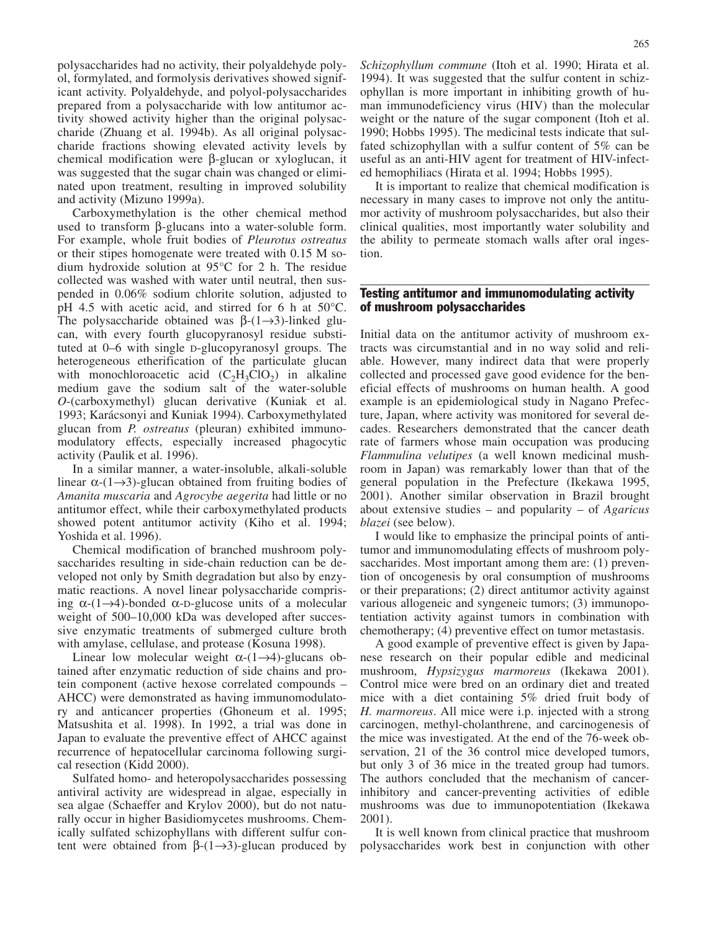polysaccharides had no activity, their polyaldehyde polyol, formylated, and formolysis derivatives showed significant activity. Polyaldehyde, and polyol-polysaccharides prepared from a polysaccharide with low antitumor activity showed activity higher than the original polysaccharide (Zhuang et al. 1994b). As all original polysaccharide fractions showing elevated activity levels by chemical modification were β-glucan or xyloglucan, it was suggested that the sugar chain was changed or eliminated upon treatment, resulting in improved solubility and activity (Mizuno 1999a).

Carboxymethylation is the other chemical method used to transform β-glucans into a water-soluble form. For example, whole fruit bodies of *Pleurotus ostreatus* or their stipes homogenate were treated with 0.15 M sodium hydroxide solution at 95°C for 2 h. The residue collected was washed with water until neutral, then suspended in 0.06% sodium chlorite solution, adjusted to pH 4.5 with acetic acid, and stirred for 6 h at 50°C. The polysaccharide obtained was  $\beta$ -(1→3)-linked glucan, with every fourth glucopyranosyl residue substituted at 0–6 with single D-glucopyranosyl groups. The heterogeneous etherification of the particulate glucan with monochloroacetic acid  $(C_2H_3ClO_2)$  in alkaline medium gave the sodium salt of the water-soluble *O*-(carboxymethyl) glucan derivative (Kuniak et al. 1993; Karácsonyi and Kuniak 1994). Carboxymethylated glucan from *P. ostreatus* (pleuran) exhibited immunomodulatory effects, especially increased phagocytic activity (Paulik et al. 1996).

In a similar manner, a water-insoluble, alkali-soluble linear  $\alpha$ -(1→3)-glucan obtained from fruiting bodies of *Amanita muscaria* and *Agrocybe aegerita* had little or no antitumor effect, while their carboxymethylated products showed potent antitumor activity (Kiho et al. 1994; Yoshida et al. 1996).

Chemical modification of branched mushroom polysaccharides resulting in side-chain reduction can be developed not only by Smith degradation but also by enzymatic reactions. A novel linear polysaccharide comprising  $\alpha$ -(1→4)-bonded  $\alpha$ -D-glucose units of a molecular weight of 500–10,000 kDa was developed after successive enzymatic treatments of submerged culture broth with amylase, cellulase, and protease (Kosuna 1998).

Linear low molecular weight  $\alpha$ -(1→4)-glucans obtained after enzymatic reduction of side chains and protein component (active hexose correlated compounds – AHCC) were demonstrated as having immunomodulatory and anticancer properties (Ghoneum et al. 1995; Matsushita et al. 1998). In 1992, a trial was done in Japan to evaluate the preventive effect of AHCC against recurrence of hepatocellular carcinoma following surgical resection (Kidd 2000).

Sulfated homo- and heteropolysaccharides possessing antiviral activity are widespread in algae, especially in sea algae (Schaeffer and Krylov 2000), but do not naturally occur in higher Basidiomycetes mushrooms. Chemically sulfated schizophyllans with different sulfur content were obtained from  $\beta$ -(1→3)-glucan produced by

*Schizophyllum commune* (Itoh et al. 1990; Hirata et al. 1994). It was suggested that the sulfur content in schizophyllan is more important in inhibiting growth of human immunodeficiency virus (HIV) than the molecular weight or the nature of the sugar component (Itoh et al. 1990; Hobbs 1995). The medicinal tests indicate that sulfated schizophyllan with a sulfur content of 5% can be useful as an anti-HIV agent for treatment of HIV-infected hemophiliacs (Hirata et al. 1994; Hobbs 1995).

It is important to realize that chemical modification is necessary in many cases to improve not only the antitumor activity of mushroom polysaccharides, but also their clinical qualities, most importantly water solubility and the ability to permeate stomach walls after oral ingestion.

## Testing antitumor and immunomodulating activity of mushroom polysaccharides

Initial data on the antitumor activity of mushroom extracts was circumstantial and in no way solid and reliable. However, many indirect data that were properly collected and processed gave good evidence for the beneficial effects of mushrooms on human health. A good example is an epidemiological study in Nagano Prefecture, Japan, where activity was monitored for several decades. Researchers demonstrated that the cancer death rate of farmers whose main occupation was producing *Flammulina velutipes* (a well known medicinal mushroom in Japan) was remarkably lower than that of the general population in the Prefecture (Ikekawa 1995, 2001). Another similar observation in Brazil brought about extensive studies – and popularity – of *Agaricus blazei* (see below).

I would like to emphasize the principal points of antitumor and immunomodulating effects of mushroom polysaccharides. Most important among them are: (1) prevention of oncogenesis by oral consumption of mushrooms or their preparations; (2) direct antitumor activity against various allogeneic and syngeneic tumors; (3) immunopotentiation activity against tumors in combination with chemotherapy; (4) preventive effect on tumor metastasis.

A good example of preventive effect is given by Japanese research on their popular edible and medicinal mushroom, *Hypsizygus marmoreus* (Ikekawa 2001). Control mice were bred on an ordinary diet and treated mice with a diet containing 5% dried fruit body of *H. marmoreus*. All mice were i.p. injected with a strong carcinogen, methyl-cholanthrene, and carcinogenesis of the mice was investigated. At the end of the 76-week observation, 21 of the 36 control mice developed tumors, but only 3 of 36 mice in the treated group had tumors. The authors concluded that the mechanism of cancerinhibitory and cancer-preventing activities of edible mushrooms was due to immunopotentiation (Ikekawa 2001).

It is well known from clinical practice that mushroom polysaccharides work best in conjunction with other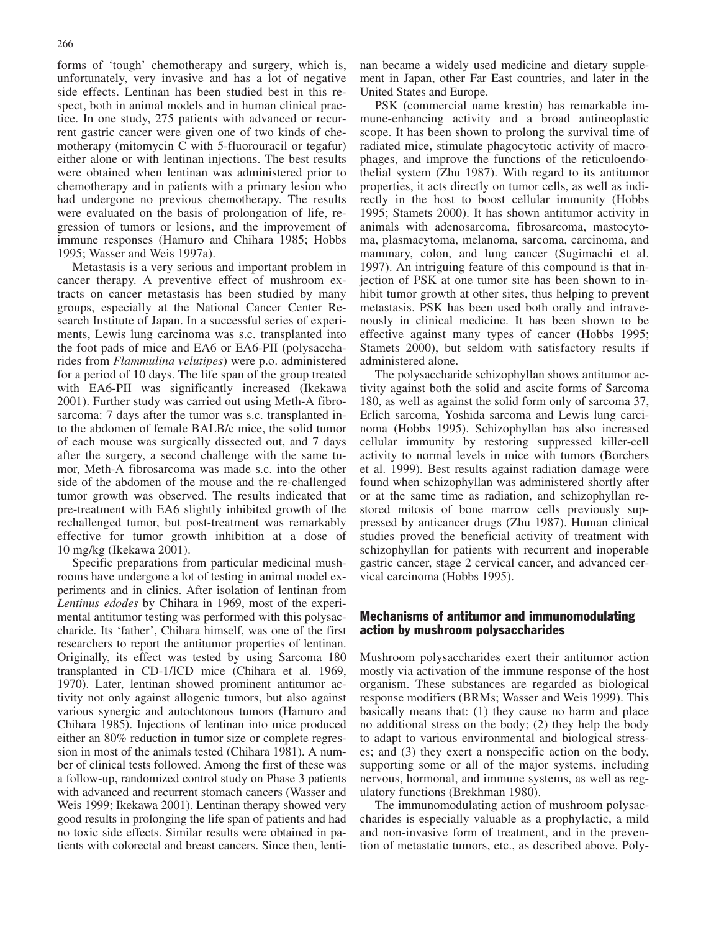forms of 'tough' chemotherapy and surgery, which is, unfortunately, very invasive and has a lot of negative side effects. Lentinan has been studied best in this respect, both in animal models and in human clinical practice. In one study, 275 patients with advanced or recurrent gastric cancer were given one of two kinds of chemotherapy (mitomycin C with 5-fluorouracil or tegafur) either alone or with lentinan injections. The best results were obtained when lentinan was administered prior to chemotherapy and in patients with a primary lesion who had undergone no previous chemotherapy. The results were evaluated on the basis of prolongation of life, regression of tumors or lesions, and the improvement of immune responses (Hamuro and Chihara 1985; Hobbs 1995; Wasser and Weis 1997a).

Metastasis is a very serious and important problem in cancer therapy. A preventive effect of mushroom extracts on cancer metastasis has been studied by many groups, especially at the National Cancer Center Research Institute of Japan. In a successful series of experiments, Lewis lung carcinoma was s.c. transplanted into the foot pads of mice and EA6 or EA6-PII (polysaccharides from *Flammulina velutipes*) were p.o. administered for a period of 10 days. The life span of the group treated with EA6-PII was significantly increased (Ikekawa 2001). Further study was carried out using Meth-A fibrosarcoma: 7 days after the tumor was s.c. transplanted into the abdomen of female BALB/c mice, the solid tumor of each mouse was surgically dissected out, and 7 days after the surgery, a second challenge with the same tumor, Meth-A fibrosarcoma was made s.c. into the other side of the abdomen of the mouse and the re-challenged tumor growth was observed. The results indicated that pre-treatment with EA6 slightly inhibited growth of the rechallenged tumor, but post-treatment was remarkably effective for tumor growth inhibition at a dose of 10 mg/kg (Ikekawa 2001).

Specific preparations from particular medicinal mushrooms have undergone a lot of testing in animal model experiments and in clinics. After isolation of lentinan from *Lentinus edodes* by Chihara in 1969, most of the experimental antitumor testing was performed with this polysaccharide. Its 'father', Chihara himself, was one of the first researchers to report the antitumor properties of lentinan. Originally, its effect was tested by using Sarcoma 180 transplanted in CD-1/ICD mice (Chihara et al. 1969, 1970). Later, lentinan showed prominent antitumor activity not only against allogenic tumors, but also against various synergic and autochtonous tumors (Hamuro and Chihara 1985). Injections of lentinan into mice produced either an 80% reduction in tumor size or complete regression in most of the animals tested (Chihara 1981). A number of clinical tests followed. Among the first of these was a follow-up, randomized control study on Phase 3 patients with advanced and recurrent stomach cancers (Wasser and Weis 1999; Ikekawa 2001). Lentinan therapy showed very good results in prolonging the life span of patients and had no toxic side effects. Similar results were obtained in patients with colorectal and breast cancers. Since then, lentinan became a widely used medicine and dietary supplement in Japan, other Far East countries, and later in the United States and Europe.

PSK (commercial name krestin) has remarkable immune-enhancing activity and a broad antineoplastic scope. It has been shown to prolong the survival time of radiated mice, stimulate phagocytotic activity of macrophages, and improve the functions of the reticuloendothelial system (Zhu 1987). With regard to its antitumor properties, it acts directly on tumor cells, as well as indirectly in the host to boost cellular immunity (Hobbs 1995; Stamets 2000). It has shown antitumor activity in animals with adenosarcoma, fibrosarcoma, mastocytoma, plasmacytoma, melanoma, sarcoma, carcinoma, and mammary, colon, and lung cancer (Sugimachi et al. 1997). An intriguing feature of this compound is that injection of PSK at one tumor site has been shown to inhibit tumor growth at other sites, thus helping to prevent metastasis. PSK has been used both orally and intravenously in clinical medicine. It has been shown to be effective against many types of cancer (Hobbs 1995; Stamets 2000), but seldom with satisfactory results if administered alone.

The polysaccharide schizophyllan shows antitumor activity against both the solid and ascite forms of Sarcoma 180, as well as against the solid form only of sarcoma 37, Erlich sarcoma, Yoshida sarcoma and Lewis lung carcinoma (Hobbs 1995). Schizophyllan has also increased cellular immunity by restoring suppressed killer-cell activity to normal levels in mice with tumors (Borchers et al. 1999). Best results against radiation damage were found when schizophyllan was administered shortly after or at the same time as radiation, and schizophyllan restored mitosis of bone marrow cells previously suppressed by anticancer drugs (Zhu 1987). Human clinical studies proved the beneficial activity of treatment with schizophyllan for patients with recurrent and inoperable gastric cancer, stage 2 cervical cancer, and advanced cervical carcinoma (Hobbs 1995).

## Mechanisms of antitumor and immunomodulating action by mushroom polysaccharides

Mushroom polysaccharides exert their antitumor action mostly via activation of the immune response of the host organism. These substances are regarded as biological response modifiers (BRMs; Wasser and Weis 1999). This basically means that: (1) they cause no harm and place no additional stress on the body; (2) they help the body to adapt to various environmental and biological stresses; and (3) they exert a nonspecific action on the body, supporting some or all of the major systems, including nervous, hormonal, and immune systems, as well as regulatory functions (Brekhman 1980).

The immunomodulating action of mushroom polysaccharides is especially valuable as a prophylactic, a mild and non-invasive form of treatment, and in the prevention of metastatic tumors, etc., as described above. Poly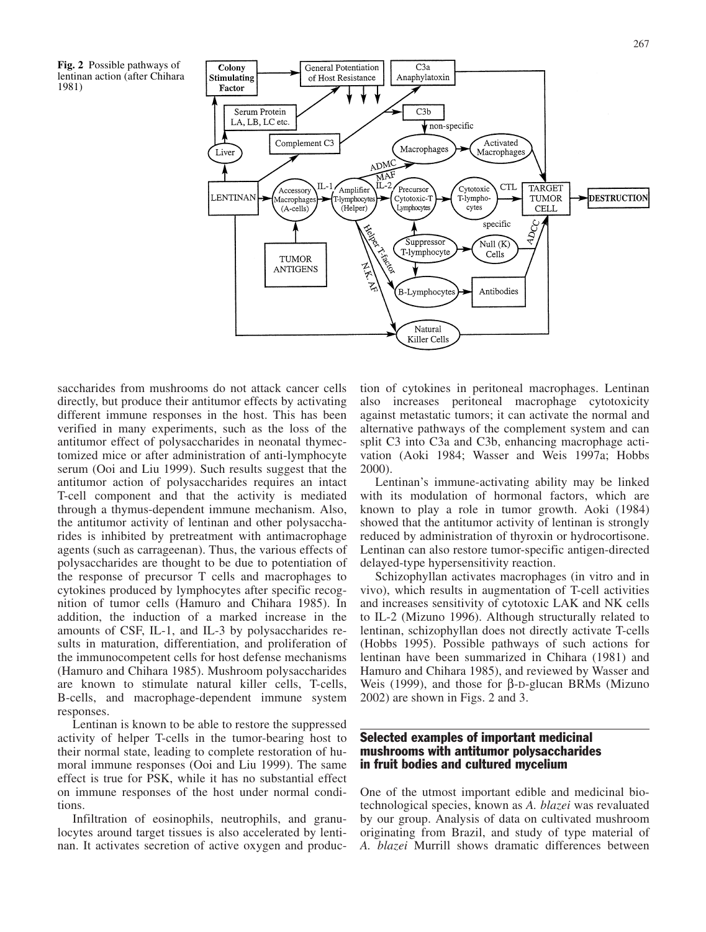**Fig. 2** Possible pathways of lentinan action (after Chihara 1981)



saccharides from mushrooms do not attack cancer cells directly, but produce their antitumor effects by activating different immune responses in the host. This has been verified in many experiments, such as the loss of the antitumor effect of polysaccharides in neonatal thymectomized mice or after administration of anti-lymphocyte serum (Ooi and Liu 1999). Such results suggest that the antitumor action of polysaccharides requires an intact T-cell component and that the activity is mediated through a thymus-dependent immune mechanism. Also, the antitumor activity of lentinan and other polysaccharides is inhibited by pretreatment with antimacrophage agents (such as carrageenan). Thus, the various effects of polysaccharides are thought to be due to potentiation of the response of precursor T cells and macrophages to cytokines produced by lymphocytes after specific recognition of tumor cells (Hamuro and Chihara 1985). In addition, the induction of a marked increase in the amounts of CSF, IL-1, and IL-3 by polysaccharides results in maturation, differentiation, and proliferation of the immunocompetent cells for host defense mechanisms (Hamuro and Chihara 1985). Mushroom polysaccharides are known to stimulate natural killer cells, T-cells, B-cells, and macrophage-dependent immune system responses.

Lentinan is known to be able to restore the suppressed activity of helper T-cells in the tumor-bearing host to their normal state, leading to complete restoration of humoral immune responses (Ooi and Liu 1999). The same effect is true for PSK, while it has no substantial effect on immune responses of the host under normal conditions.

Infiltration of eosinophils, neutrophils, and granulocytes around target tissues is also accelerated by lentinan. It activates secretion of active oxygen and production of cytokines in peritoneal macrophages. Lentinan also increases peritoneal macrophage cytotoxicity against metastatic tumors; it can activate the normal and alternative pathways of the complement system and can split C3 into C3a and C3b, enhancing macrophage activation (Aoki 1984; Wasser and Weis 1997a; Hobbs 2000).

Lentinan's immune-activating ability may be linked with its modulation of hormonal factors, which are known to play a role in tumor growth. Aoki (1984) showed that the antitumor activity of lentinan is strongly reduced by administration of thyroxin or hydrocortisone. Lentinan can also restore tumor-specific antigen-directed delayed-type hypersensitivity reaction.

Schizophyllan activates macrophages (in vitro and in vivo), which results in augmentation of T-cell activities and increases sensitivity of cytotoxic LAK and NK cells to IL-2 (Mizuno 1996). Although structurally related to lentinan, schizophyllan does not directly activate T-cells (Hobbs 1995). Possible pathways of such actions for lentinan have been summarized in Chihara (1981) and Hamuro and Chihara 1985), and reviewed by Wasser and Weis (1999), and those for β-D-glucan BRMs (Mizuno 2002) are shown in Figs. 2 and 3.

## Selected examples of important medicinal mushrooms with antitumor polysaccharides in fruit bodies and cultured mycelium

One of the utmost important edible and medicinal biotechnological species, known as *A. blazei* was revaluated by our group. Analysis of data on cultivated mushroom originating from Brazil, and study of type material of *A. blazei* Murrill shows dramatic differences between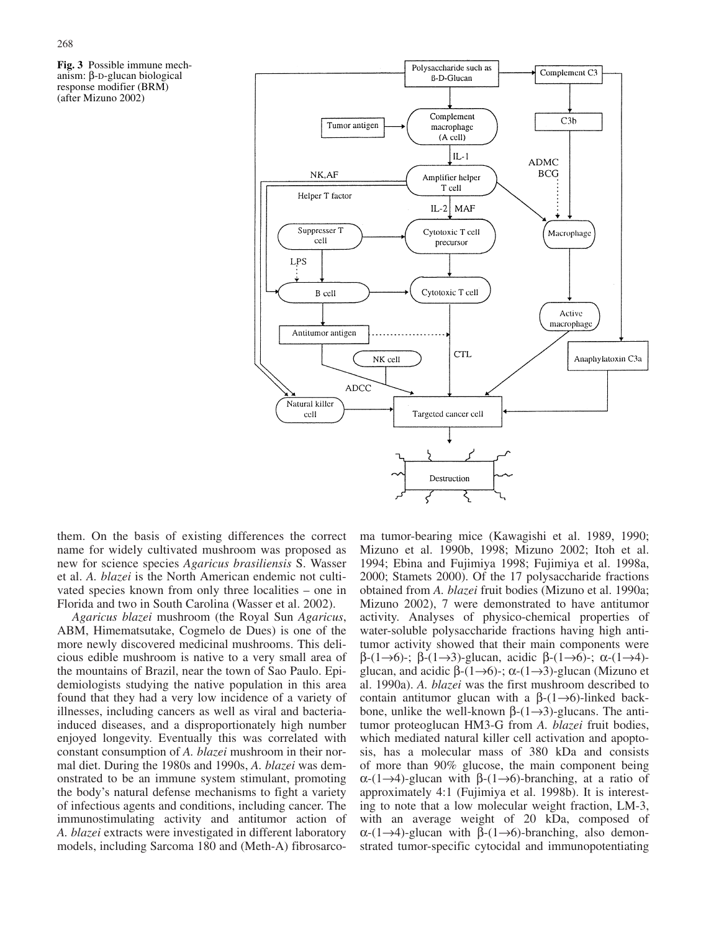**Fig. 3** Possible immune mechanism: β-D-glucan biological response modifier (BRM) (after Mizuno 2002)



them. On the basis of existing differences the correct name for widely cultivated mushroom was proposed as new for science species *Agaricus brasiliensis* S. Wasser et al. *A. blazei* is the North American endemic not cultivated species known from only three localities – one in Florida and two in South Carolina (Wasser et al. 2002).

*Agaricus blazei* mushroom (the Royal Sun *Agaricus*, ABM, Himematsutake, Cogmelo de Dues) is one of the more newly discovered medicinal mushrooms. This delicious edible mushroom is native to a very small area of the mountains of Brazil, near the town of Sao Paulo. Epidemiologists studying the native population in this area found that they had a very low incidence of a variety of illnesses, including cancers as well as viral and bacteriainduced diseases, and a disproportionately high number enjoyed longevity. Eventually this was correlated with constant consumption of *A. blazei* mushroom in their normal diet. During the 1980s and 1990s, *A. blazei* was demonstrated to be an immune system stimulant, promoting the body's natural defense mechanisms to fight a variety of infectious agents and conditions, including cancer. The immunostimulating activity and antitumor action of *A. blazei* extracts were investigated in different laboratory models, including Sarcoma 180 and (Meth-A) fibrosarcoma tumor-bearing mice (Kawagishi et al. 1989, 1990; Mizuno et al. 1990b, 1998; Mizuno 2002; Itoh et al. 1994; Ebina and Fujimiya 1998; Fujimiya et al. 1998a, 2000; Stamets 2000). Of the 17 polysaccharide fractions obtained from *A. blazei* fruit bodies (Mizuno et al. 1990a; Mizuno 2002), 7 were demonstrated to have antitumor activity. Analyses of physico-chemical properties of water-soluble polysaccharide fractions having high antitumor activity showed that their main components were β-(1→6)-; β-(1→3)-glucan, acidic β-(1→6)-; α-(1→4) glucan, and acidic  $\beta$ -(1→6)-; α-(1→3)-glucan (Mizuno et al. 1990a). *A. blazei* was the first mushroom described to contain antitumor glucan with a  $\beta$ -(1→6)-linked backbone, unlike the well-known  $\beta$ -(1→3)-glucans. The antitumor proteoglucan HM3-G from *A. blazei* fruit bodies, which mediated natural killer cell activation and apoptosis, has a molecular mass of 380 kDa and consists of more than 90% glucose, the main component being α-(1→4)-glucan with β-(1→6)-branching, at a ratio of approximately 4:1 (Fujimiya et al. 1998b). It is interesting to note that a low molecular weight fraction, LM-3, with an average weight of 20 kDa, composed of  $α-(1\rightarrow4)$ -glucan with β-(1→6)-branching, also demonstrated tumor-specific cytocidal and immunopotentiating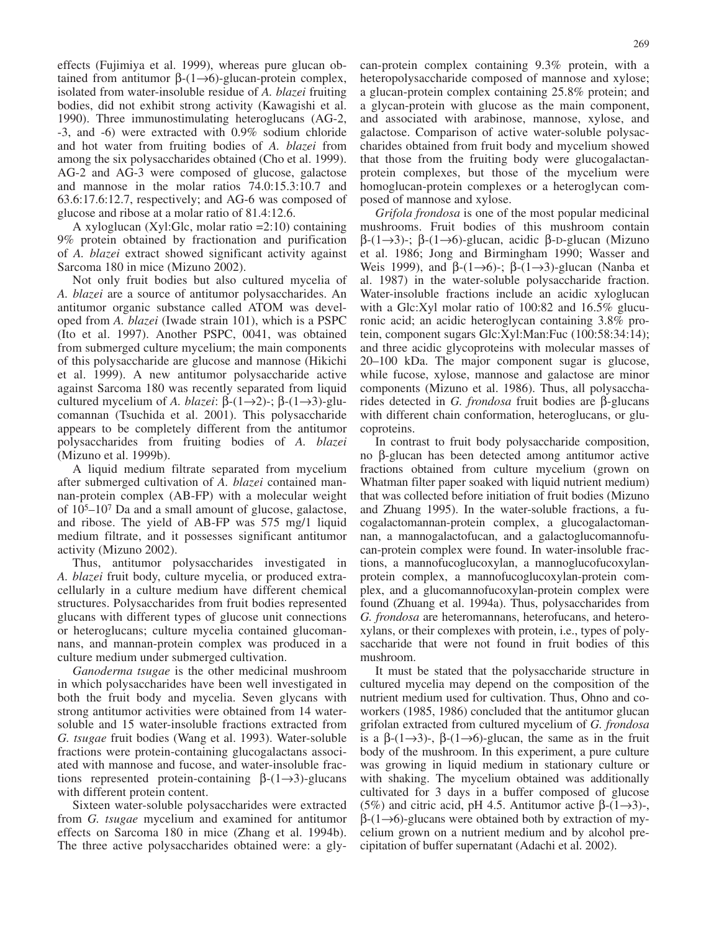effects (Fujimiya et al. 1999), whereas pure glucan obtained from antitumor  $β-(1\rightarrow6)$ -glucan-protein complex, isolated from water-insoluble residue of *A. blazei* fruiting bodies, did not exhibit strong activity (Kawagishi et al. 1990). Three immunostimulating heteroglucans (AG-2, -3, and -6) were extracted with 0.9% sodium chloride and hot water from fruiting bodies of *A. blazei* from among the six polysaccharides obtained (Cho et al. 1999). AG-2 and AG-3 were composed of glucose, galactose and mannose in the molar ratios 74.0:15.3:10.7 and 63.6:17.6:12.7, respectively; and AG-6 was composed of glucose and ribose at a molar ratio of 81.4:12.6.

A xyloglucan (Xyl:Glc, molar ratio =2:10) containing 9% protein obtained by fractionation and purification of *A. blazei* extract showed significant activity against Sarcoma 180 in mice (Mizuno 2002).

Not only fruit bodies but also cultured mycelia of *A. blazei* are a source of antitumor polysaccharides. An antitumor organic substance called ATOM was developed from *A. blazei* (Iwade strain 101), which is a PSPC (Ito et al. 1997). Another PSPC, 0041, was obtained from submerged culture mycelium; the main components of this polysaccharide are glucose and mannose (Hikichi et al. 1999). A new antitumor polysaccharide active against Sarcoma 180 was recently separated from liquid cultured mycelium of *A. blazei*: β-(1→2)-; β-(1→3)-glucomannan (Tsuchida et al. 2001). This polysaccharide appears to be completely different from the antitumor polysaccharides from fruiting bodies of *A. blazei* (Mizuno et al. 1999b).

A liquid medium filtrate separated from mycelium after submerged cultivation of *A. blazei* contained mannan-protein complex (AB-FP) with a molecular weight of 105–107 Da and a small amount of glucose, galactose, and ribose. The yield of AB-FP was 575 mg/1 liquid medium filtrate, and it possesses significant antitumor activity (Mizuno 2002).

Thus, antitumor polysaccharides investigated in *A. blazei* fruit body, culture mycelia, or produced extracellularly in a culture medium have different chemical structures. Polysaccharides from fruit bodies represented glucans with different types of glucose unit connections or heteroglucans; culture mycelia contained glucomannans, and mannan-protein complex was produced in a culture medium under submerged cultivation.

*Ganoderma tsugae* is the other medicinal mushroom in which polysaccharides have been well investigated in both the fruit body and mycelia. Seven glycans with strong antitumor activities were obtained from 14 watersoluble and 15 water-insoluble fractions extracted from *G. tsugae* fruit bodies (Wang et al. 1993). Water-soluble fractions were protein-containing glucogalactans associated with mannose and fucose, and water-insoluble fractions represented protein-containing  $β-(1\rightarrow3)$ -glucans with different protein content.

Sixteen water-soluble polysaccharides were extracted from *G. tsugae* mycelium and examined for antitumor effects on Sarcoma 180 in mice (Zhang et al. 1994b). The three active polysaccharides obtained were: a gly-

can-protein complex containing 9.3% protein, with a heteropolysaccharide composed of mannose and xylose; a glucan-protein complex containing 25.8% protein; and a glycan-protein with glucose as the main component, and associated with arabinose, mannose, xylose, and galactose. Comparison of active water-soluble polysaccharides obtained from fruit body and mycelium showed that those from the fruiting body were glucogalactanprotein complexes, but those of the mycelium were homoglucan-protein complexes or a heteroglycan composed of mannose and xylose.

*Grifola frondosa* is one of the most popular medicinal mushrooms. Fruit bodies of this mushroom contain β-(1→3)-; β-(1→6)-glucan, acidic β-D-glucan (Mizuno et al. 1986; Jong and Birmingham 1990; Wasser and Weis 1999), and  $\beta$ -(1→6)-;  $\beta$ -(1→3)-glucan (Nanba et al. 1987) in the water-soluble polysaccharide fraction. Water-insoluble fractions include an acidic xyloglucan with a Glc:Xyl molar ratio of 100:82 and 16.5% glucuronic acid; an acidic heteroglycan containing 3.8% protein, component sugars Glc:Xyl:Man:Fuc (100:58:34:14); and three acidic glycoproteins with molecular masses of 20–100 kDa. The major component sugar is glucose, while fucose, xylose, mannose and galactose are minor components (Mizuno et al. 1986). Thus, all polysaccharides detected in *G. frondosa* fruit bodies are β-glucans with different chain conformation, heteroglucans, or glucoproteins.

In contrast to fruit body polysaccharide composition, no β-glucan has been detected among antitumor active fractions obtained from culture mycelium (grown on Whatman filter paper soaked with liquid nutrient medium) that was collected before initiation of fruit bodies (Mizuno and Zhuang 1995). In the water-soluble fractions, a fucogalactomannan-protein complex, a glucogalactomannan, a mannogalactofucan, and a galactoglucomannofucan-protein complex were found. In water-insoluble fractions, a mannofucoglucoxylan, a mannoglucofucoxylanprotein complex, a mannofucoglucoxylan-protein complex, and a glucomannofucoxylan-protein complex were found (Zhuang et al. 1994a). Thus, polysaccharides from *G. frondosa* are heteromannans, heterofucans, and heteroxylans, or their complexes with protein, i.e., types of polysaccharide that were not found in fruit bodies of this mushroom.

It must be stated that the polysaccharide structure in cultured mycelia may depend on the composition of the nutrient medium used for cultivation. Thus, Ohno and coworkers (1985, 1986) concluded that the antitumor glucan grifolan extracted from cultured mycelium of *G. frondosa* is a  $\beta$ -(1→3)-,  $\beta$ -(1→6)-glucan, the same as in the fruit body of the mushroom. In this experiment, a pure culture was growing in liquid medium in stationary culture or with shaking. The mycelium obtained was additionally cultivated for 3 days in a buffer composed of glucose (5%) and citric acid, pH 4.5. Antitumor active β-(1→3)-,  $\beta$ -(1→6)-glucans were obtained both by extraction of mycelium grown on a nutrient medium and by alcohol precipitation of buffer supernatant (Adachi et al. 2002).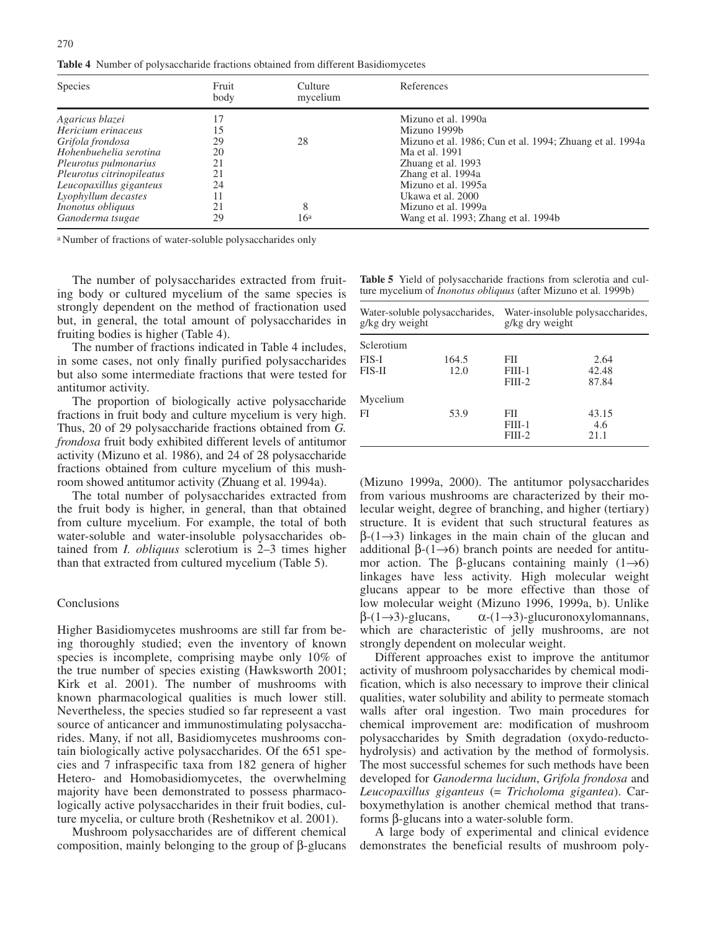**Table 4** Number of polysaccharide fractions obtained from different Basidiomycetes

| <b>Species</b>            | Fruit<br>body | Culture<br>mycelium | References                                               |
|---------------------------|---------------|---------------------|----------------------------------------------------------|
| Agaricus blazei           | 17            |                     | Mizuno et al. 1990a                                      |
| Hericium erinaceus        | 15            |                     | Mizuno 1999b                                             |
| Grifola frondosa          | 29            | 28                  | Mizuno et al. 1986; Cun et al. 1994; Zhuang et al. 1994a |
| Hohenbuehelia serotina    | 20            |                     | Ma et al. 1991                                           |
| Pleurotus pulmonarius     | 21            |                     | Zhuang et al. 1993                                       |
| Pleurotus citrinopileatus | 21            |                     | Zhang et al. 1994a                                       |
| Leucopaxillus giganteus   | 24            |                     | Mizuno et al. 1995a                                      |
| Lyophyllum decastes       | 11            |                     | Ukawa et al. 2000                                        |
| <i>Inonotus obliquus</i>  | 21            |                     | Mizuno et al. 1999a                                      |
| Ganoderma tsugae          | 29            | 16 <sup>a</sup>     | Wang et al. 1993; Zhang et al. 1994b                     |

<sup>a</sup> Number of fractions of water-soluble polysaccharides only

The number of polysaccharides extracted from fruiting body or cultured mycelium of the same species is strongly dependent on the method of fractionation used but, in general, the total amount of polysaccharides in fruiting bodies is higher (Table 4).

The number of fractions indicated in Table 4 includes, in some cases, not only finally purified polysaccharides but also some intermediate fractions that were tested for antitumor activity.

The proportion of biologically active polysaccharide fractions in fruit body and culture mycelium is very high. Thus, 20 of 29 polysaccharide fractions obtained from *G. frondosa* fruit body exhibited different levels of antitumor activity (Mizuno et al. 1986), and 24 of 28 polysaccharide fractions obtained from culture mycelium of this mushroom showed antitumor activity (Zhuang et al. 1994a).

The total number of polysaccharides extracted from the fruit body is higher, in general, than that obtained from culture mycelium. For example, the total of both water-soluble and water-insoluble polysaccharides obtained from *I. obliquus* sclerotium is 2–3 times higher than that extracted from cultured mycelium (Table 5).

## Conclusions

Higher Basidiomycetes mushrooms are still far from being thoroughly studied; even the inventory of known species is incomplete, comprising maybe only 10% of the true number of species existing (Hawksworth 2001; Kirk et al. 2001). The number of mushrooms with known pharmacological qualities is much lower still. Nevertheless, the species studied so far represeent a vast source of anticancer and immunostimulating polysaccharides. Many, if not all, Basidiomycetes mushrooms contain biologically active polysaccharides. Of the 651 species and 7 infraspecific taxa from 182 genera of higher Hetero- and Homobasidiomycetes, the overwhelming majority have been demonstrated to possess pharmacologically active polysaccharides in their fruit bodies, culture mycelia, or culture broth (Reshetnikov et al. 2001).

Mushroom polysaccharides are of different chemical composition, mainly belonging to the group of β-glucans

**Table 5** Yield of polysaccharide fractions from sclerotia and culture mycelium of *Inonotus obliquus* (after Mizuno et al. 1999b)

| g/kg dry weight               | Water-soluble polysaccharides, | Water-insoluble polysaccharides,<br>g/kg dry weight |                        |  |
|-------------------------------|--------------------------------|-----------------------------------------------------|------------------------|--|
| Sclerotium                    |                                |                                                     |                        |  |
| <b>FIS-I</b><br><b>FIS-II</b> | 164.5<br>12.0                  | FII<br>$FIII-1$<br>$FIII-2$                         | 2.64<br>42.48<br>87.84 |  |
| Mycelium                      |                                |                                                     |                        |  |
| FI                            | 53.9                           | FH<br>$FIII-1$<br>$FIII-2$                          | 43.15<br>4.6<br>21.1   |  |

(Mizuno 1999a, 2000). The antitumor polysaccharides from various mushrooms are characterized by their molecular weight, degree of branching, and higher (tertiary) structure. It is evident that such structural features as β-(1→3) linkages in the main chain of the glucan and additional  $\beta$ -(1→6) branch points are needed for antitumor action. The β-glucans containing mainly  $(1\rightarrow6)$ linkages have less activity. High molecular weight glucans appear to be more effective than those of low molecular weight (Mizuno 1996, 1999a, b). Unlike  $\beta$ -(1→3)-glucans,  $\alpha$ -(1→3)-glucuronoxylomannans, which are characteristic of jelly mushrooms, are not strongly dependent on molecular weight.

Different approaches exist to improve the antitumor activity of mushroom polysaccharides by chemical modification, which is also necessary to improve their clinical qualities, water solubility and ability to permeate stomach walls after oral ingestion. Two main procedures for chemical improvement are: modification of mushroom polysaccharides by Smith degradation (oxydo-reductohydrolysis) and activation by the method of formolysis. The most successful schemes for such methods have been developed for *Ganoderma lucidum*, *Grifola frondosa* and *Leucopaxillus giganteus* (= *Tricholoma gigantea*). Carboxymethylation is another chemical method that transforms β-glucans into a water-soluble form.

A large body of experimental and clinical evidence demonstrates the beneficial results of mushroom poly-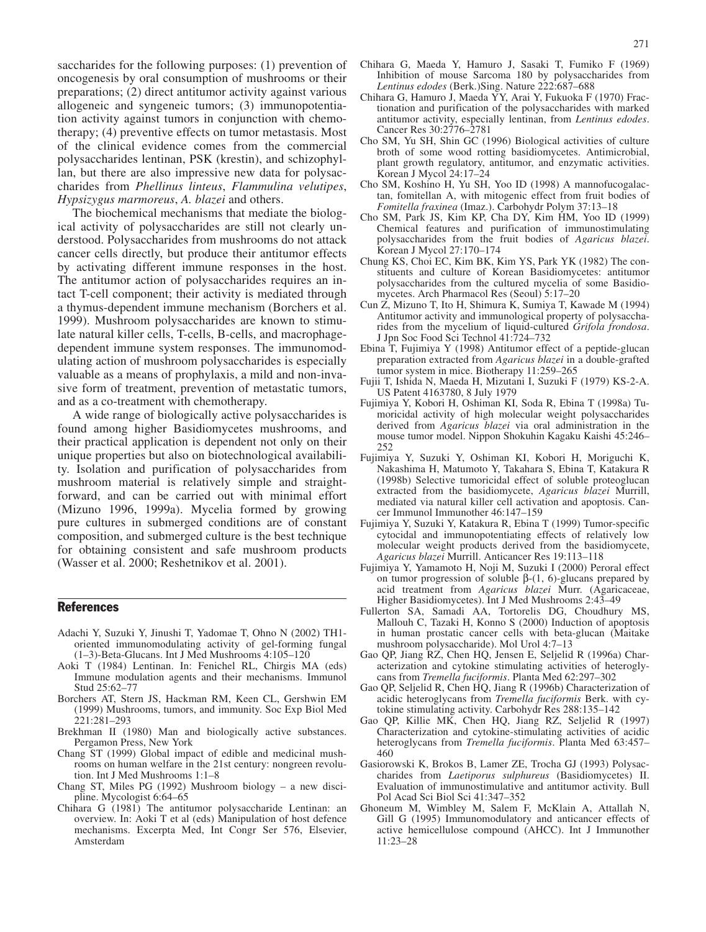saccharides for the following purposes: (1) prevention of oncogenesis by oral consumption of mushrooms or their preparations; (2) direct antitumor activity against various allogeneic and syngeneic tumors; (3) immunopotentiation activity against tumors in conjunction with chemotherapy; (4) preventive effects on tumor metastasis. Most of the clinical evidence comes from the commercial polysaccharides lentinan, PSK (krestin), and schizophyllan, but there are also impressive new data for polysaccharides from *Phellinus linteus*, *Flammulina velutipes*, *Hypsizygus marmoreus*, *A. blazei* and others.

The biochemical mechanisms that mediate the biological activity of polysaccharides are still not clearly understood. Polysaccharides from mushrooms do not attack cancer cells directly, but produce their antitumor effects by activating different immune responses in the host. The antitumor action of polysaccharides requires an intact T-cell component; their activity is mediated through a thymus-dependent immune mechanism (Borchers et al. 1999). Mushroom polysaccharides are known to stimulate natural killer cells, T-cells, B-cells, and macrophagedependent immune system responses. The immunomodulating action of mushroom polysaccharides is especially valuable as a means of prophylaxis, a mild and non-invasive form of treatment, prevention of metastatic tumors, and as a co-treatment with chemotherapy.

A wide range of biologically active polysaccharides is found among higher Basidiomycetes mushrooms, and their practical application is dependent not only on their unique properties but also on biotechnological availability. Isolation and purification of polysaccharides from mushroom material is relatively simple and straightforward, and can be carried out with minimal effort (Mizuno 1996, 1999a). Mycelia formed by growing pure cultures in submerged conditions are of constant composition, and submerged culture is the best technique for obtaining consistent and safe mushroom products (Wasser et al. 2000; Reshetnikov et al. 2001).

## References

- Adachi Y, Suzuki Y, Jinushi T, Yadomae T, Ohno N (2002) TH1 oriented immunomodulating activity of gel-forming fungal (1–3)-Beta-Glucans. Int J Med Mushrooms 4:105–120
- Aoki T (1984) Lentinan. In: Fenichel RL, Chirgis MA (eds) Immune modulation agents and their mechanisms. Immunol Stud 25:62–77
- Borchers AT, Stern JS, Hackman RM, Keen CL, Gershwin EM (1999) Mushrooms, tumors, and immunity. Soc Exp Biol Med 221:281–293
- Brekhman II (1980) Man and biologically active substances. Pergamon Press, New York
- Chang ST (1999) Global impact of edible and medicinal mushrooms on human welfare in the 21st century: nongreen revolution. Int J Med Mushrooms 1:1–8
- Chang ST, Miles PG (1992) Mushroom biology a new discipline. Mycologist 6:64–65
- Chihara G (1981) The antitumor polysaccharide Lentinan: an overview. In: Aoki T et al (eds) Manipulation of host defence mechanisms. Excerpta Med, Int Congr Ser 576, Elsevier, Amsterdam
- Chihara G, Maeda Y, Hamuro J, Sasaki T, Fumiko F (1969) Inhibition of mouse Sarcoma 180 by polysaccharides from *Lentinus edodes* (Berk.)Sing. Nature 222:687–688
- Chihara G, Hamuro J, Maeda YY, Arai Y, Fukuoka F (1970) Fractionation and purification of the polysaccharides with marked antitumor activity, especially lentinan, from *Lentinus edodes*. Cancer Res 30:2776–2781
- Cho SM, Yu SH, Shin GC (1996) Biological activities of culture broth of some wood rotting basidiomycetes. Antimicrobial, plant growth regulatory, antitumor, and enzymatic activities. Korean J Mycol 24:17–24
- Cho SM, Koshino H, Yu SH, Yoo ID (1998) A mannofucogalactan, fomitellan A, with mitogenic effect from fruit bodies of *Fomitella fraxinea* (Imaz.). Carbohydr Polym 37:13–18
- Cho SM, Park JS, Kim KP, Cha DY, Kim HM, Yoo ID (1999) Chemical features and purification of immunostimulating polysaccharides from the fruit bodies of *Agaricus blazei*. Korean J Mycol 27:170–174
- Chung KS, Choi EC, Kim BK, Kim YS, Park YK (1982) The constituents and culture of Korean Basidiomycetes: antitumor polysaccharides from the cultured mycelia of some Basidiomycetes. Arch Pharmacol Res (Seoul) 5:17–20
- Cun Z, Mizuno T, Ito H, Shimura K, Sumiya T, Kawade M (1994) Antitumor activity and immunological property of polysaccharides from the mycelium of liquid-cultured *Grifola frondosa*. J Jpn Soc Food Sci Technol 41:724–732
- Ebina T, Fujimiya Y (1998) Antitumor effect of a peptide-glucan preparation extracted from *Agaricus blazei* in a double-grafted tumor system in mice. Biotherapy 11:259-265
- Fujii T, Ishida N, Maeda H, Mizutani I, Suzuki F (1979) KS-2-A. US Patent 4163780, 8 July 1979
- Fujimiya Y, Kobori H, Oshiman KI, Soda R, Ebina T (1998a) Tumoricidal activity of high molecular weight polysaccharides derived from *Agaricus blazei* via oral administration in the mouse tumor model. Nippon Shokuhin Kagaku Kaishi 45:246– 252
- Fujimiya Y, Suzuki Y, Oshiman KI, Kobori H, Moriguchi K, Nakashima H, Matumoto Y, Takahara S, Ebina T, Katakura R (1998b) Selective tumoricidal effect of soluble proteoglucan extracted from the basidiomycete, *Agaricus blazei* Murrill, mediated via natural killer cell activation and apoptosis. Cancer Immunol Immunother 46:147–159
- Fujimiya Y, Suzuki Y, Katakura R, Ebina T (1999) Tumor-specific cytocidal and immunopotentiating effects of relatively low molecular weight products derived from the basidiomycete, *Agaricus blazei* Murrill. Anticancer Res 19:113–118
- Fujimiya Y, Yamamoto H, Noji M, Suzuki I (2000) Peroral effect on tumor progression of soluble β-(1, 6)-glucans prepared by acid treatment from *Agaricus blazei* Murr. (Agaricaceae, Higher Basidiomycetes). Int J Med Mushrooms 2:43–49
- Fullerton SA, Samadi AA, Tortorelis DG, Choudhury MS, Mallouh C, Tazaki H, Konno S (2000) Induction of apoptosis in human prostatic cancer cells with beta-glucan (Maitake mushroom polysaccharide). Mol Urol 4:7–13
- Gao QP, Jiang RZ, Chen HQ, Jensen E, Seljelid R (1996a) Characterization and cytokine stimulating activities of heteroglycans from *Tremella fuciformis*. Planta Med 62:297–302
- Gao QP, Seljelid R, Chen HQ, Jiang R (1996b) Characterization of acidic heteroglycans from *Tremella fuciformis* Berk. with cytokine stimulating activity. Carbohydr Res 288:135–142
- Gao QP, Killie MK, Chen HQ, Jiang RZ, Seljelid R (1997) Characterization and cytokine-stimulating activities of acidic heteroglycans from *Tremella fuciformis*. Planta Med 63:457– 460
- Gasiorowski K, Brokos B, Lamer ZE, Trocha GJ (1993) Polysaccharides from *Laetiporus sulphureus* (Basidiomycetes) II. Evaluation of immunostimulative and antitumor activity. Bull Pol Acad Sci Biol Sci 41:347–352
- Ghoneum M, Wimbley M, Salem F, McKlain A, Attallah N, Gill G (1995) Immunomodulatory and anticancer effects of active hemicellulose compound (AHCC). Int J Immunother 11:23–28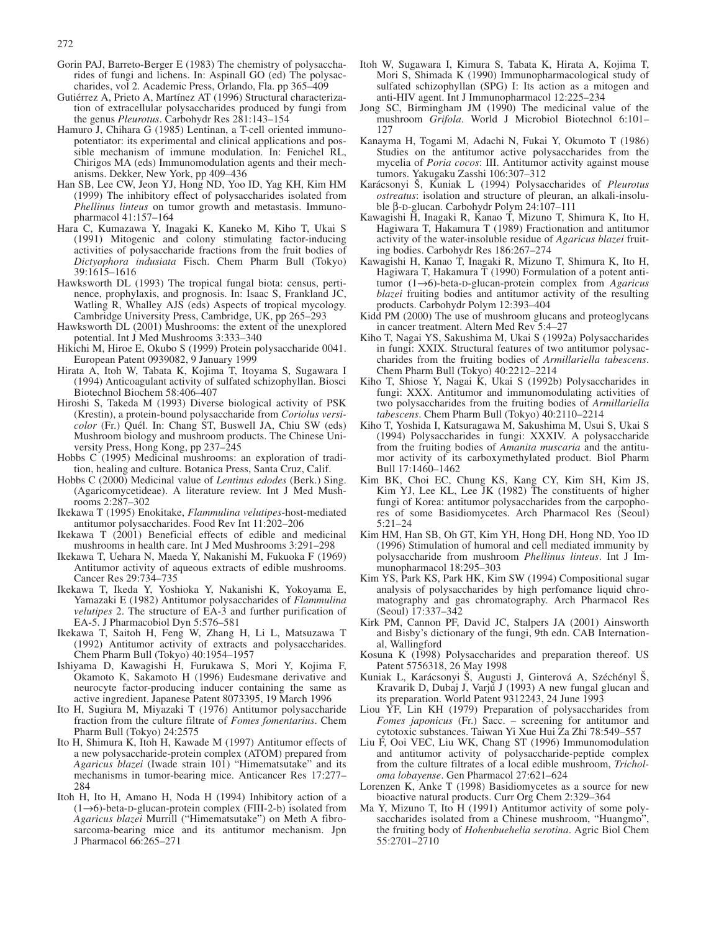- Gorin PAJ, Barreto-Berger E (1983) The chemistry of polysaccharides of fungi and lichens. In: Aspinall GO (ed) The polysaccharides, vol 2. Academic Press, Orlando, Fla. pp 365–409
- Gutiérrez A, Prieto A, Martínez AT (1996) Structural characterization of extracellular polysaccharides produced by fungi from the genus *Pleurotus*. Carbohydr Res 281:143–154
- Hamuro J, Chihara G (1985) Lentinan, a T-cell oriented immunopotentiator: its experimental and clinical applications and possible mechanism of immune modulation. In: Fenichel RL, Chirigos MA (eds) Immunomodulation agents and their mechanisms. Dekker, New York, pp 409–436
- Han SB, Lee CW, Jeon YJ, Hong ND, Yoo ID, Yag KH, Kim HM (1999) The inhibitory effect of polysaccharides isolated from *Phellinus linteus* on tumor growth and metastasis. Immunopharmacol 41:157–164
- Hara C, Kumazawa Y, Inagaki K, Kaneko M, Kiho T, Ukai S (1991) Mitogenic and colony stimulating factor-inducing activities of polysaccharide fractions from the fruit bodies of *Dictyophora indusiata* Fisch. Chem Pharm Bull (Tokyo) 39:1615–1616
- Hawksworth DL (1993) The tropical fungal biota: census, pertinence, prophylaxis, and prognosis. In: Isaac S, Frankland JC, Watling R, Whalley AJS (eds) Aspects of tropical mycology. Cambridge University Press, Cambridge, UK, pp 265–293
- Hawksworth DL (2001) Mushrooms: the extent of the unexplored potential. Int J Med Mushrooms 3:333–340
- Hikichi M, Hiroe E, Okubo S (1999) Protein polysaccharide 0041. European Patent 0939082, 9 January 1999
- Hirata A, Itoh W, Tabata K, Kojima T, Itoyama S, Sugawara I (1994) Anticoagulant activity of sulfated schizophyllan. Biosci Biotechnol Biochem 58:406–407
- Hiroshi S, Takeda M (1993) Diverse biological activity of PSK (Krestin), a protein-bound polysaccharide from *Coriolus versicolor* (Fr.) Quél. In: Chang ST, Buswell JA, Chiu SW (eds) Mushroom biology and mushroom products. The Chinese University Press, Hong Kong, pp 237–245
- Hobbs C (1995) Medicinal mushrooms: an exploration of tradition, healing and culture. Botanica Press, Santa Cruz, Calif.
- Hobbs C (2000) Medicinal value of *Lentinus edodes* (Berk.) Sing. (Agaricomycetideae). A literature review. Int J Med Mushrooms 2:287–302
- Ikekawa T (1995) Enokitake, *Flammulina velutipes*-host-mediated antitumor polysaccharides. Food Rev Int 11:202–206
- Ikekawa T (2001) Beneficial effects of edible and medicinal mushrooms in health care. Int J Med Mushrooms 3:291–298
- Ikekawa T, Uehara N, Maeda Y, Nakanishi M, Fukuoka F (1969) Antitumor activity of aqueous extracts of edible mushrooms. Cancer Res 29:734–735
- Ikekawa T, Ikeda Y, Yoshioka Y, Nakanishi K, Yokoyama E, Yamazaki E (1982) Antitumor polysaccharides of *Flammulina velutipes* 2. The structure of EA-3 and further purification of EA-5. J Pharmacobiol Dyn 5:576–581
- Ikekawa T, Saitoh H, Feng W, Zhang H, Li L, Matsuzawa T (1992) Antitumor activity of extracts and polysaccharides. Chem Pharm Bull (Tokyo) 40:1954–1957
- Ishiyama D, Kawagishi H, Furukawa S, Mori Y, Kojima F, Okamoto K, Sakamoto H (1996) Eudesmane derivative and neurocyte factor-producing inducer containing the same as active ingredient. Japanese Patent 8073395, 19 March 1996
- Ito H, Sugiura M, Miyazaki T (1976) Antitumor polysaccharide fraction from the culture filtrate of *Fomes fomentarius*. Chem Pharm Bull (Tokyo) 24:2575
- Ito H, Shimura K, Itoh H, Kawade M (1997) Antitumor effects of a new polysaccharide-protein complex (ATOM) prepared from *Agaricus blazei* (Iwade strain 101) "Himematsutake" and its mechanisms in tumor-bearing mice. Anticancer Res 17:277– 284
- Itoh H, Ito H, Amano H, Noda H (1994) Inhibitory action of a  $(1\rightarrow 6)$ -beta-D-glucan-protein complex (FIII-2-b) isolated from *Agaricus blazei* Murrill ("Himematsutake") on Meth A fibrosarcoma-bearing mice and its antitumor mechanism. Jpn J Pharmacol 66:265–271
- Itoh W, Sugawara I, Kimura S, Tabata K, Hirata A, Kojima T, Mori S, Shimada K (1990) Immunopharmacological study of sulfated schizophyllan (SPG) I: Its action as a mitogen and anti-HIV agent. Int J Immunopharmacol 12:225–234
- Jong SC, Birmingham JM (1990) The medicinal value of the mushroom *Grifola*. World J Microbiol Biotechnol 6:101– 127
- Kanayma H, Togami M, Adachi N, Fukai Y, Okumoto T (1986) Studies on the antitumor active polysaccharides from the mycelia of *Poria cocos*: III. Antitumor activity against mouse tumors. Yakugaku Zasshi 106:307–312
- Karácsonyi Š, Kuniak L (1994) Polysaccharides of *Pleurotus ostreatus*: isolation and structure of pleuran, an alkali-insoluble β-D-glucan. Carbohydr Polym 24:107–111
- Kawagishi H, Inagaki R, Kanao T, Mizuno T, Shimura K, Ito H, Hagiwara T, Hakamura T (1989) Fractionation and antitumor activity of the water-insoluble residue of *Agaricus blazei* fruiting bodies. Carbohydr Res 186:267–274
- Kawagishi H, Kanao T, Inagaki R, Mizuno T, Shimura K, Ito H, Hagiwara T, Hakamura T (1990) Formulation of a potent antitumor (1→6)-beta-D-glucan-protein complex from *Agaricus blazei* fruiting bodies and antitumor activity of the resulting products. Carbohydr Polym 12:393–404
- Kidd PM (2000) The use of mushroom glucans and proteoglycans in cancer treatment. Altern Med Rev 5:4–27
- Kiho T, Nagai YS, Sakushima M, Ukai S (1992a) Polysaccharides in fungi: XXIX. Structural features of two antitumor polysaccharides from the fruiting bodies of *Armillariella tabescens*. Chem Pharm Bull (Tokyo) 40:2212–2214
- Kiho T, Shiose Y, Nagai K, Ukai S (1992b) Polysaccharides in fungi: XXX. Antitumor and immunomodulating activities of two polysaccharides from the fruiting bodies of *Armillariella tabescens*. Chem Pharm Bull (Tokyo) 40:2110–2214
- Kiho T, Yoshida I, Katsuragawa M, Sakushima M, Usui S, Ukai S (1994) Polysaccharides in fungi: XXXIV. A polysaccharide from the fruiting bodies of *Amanita muscaria* and the antitumor activity of its carboxymethylated product. Biol Pharm Bull 17:1460–1462
- Kim BK, Choi EC, Chung KS, Kang CY, Kim SH, Kim JS, Kim YJ, Lee KL, Lee JK (1982) The constituents of higher fungi of Korea: antitumor polysaccharides from the carpophores of some Basidiomycetes. Arch Pharmacol Res (Seoul) 5:21–24
- Kim HM, Han SB, Oh GT, Kim YH, Hong DH, Hong ND, Yoo ID (1996) Stimulation of humoral and cell mediated immunity by polysaccharide from mushroom *Phellinus linteus*. Int J Immunopharmacol 18:295–303
- Kim YS, Park KS, Park HK, Kim SW (1994) Compositional sugar analysis of polysaccharides by high perfomance liquid chromatography and gas chromatography. Arch Pharmacol Res (Seoul) 17:337–342
- Kirk PM, Cannon PF, David JC, Stalpers JA (2001) Ainsworth and Bisby's dictionary of the fungi, 9th edn. CAB International, Wallingford
- Kosuna K (1998) Polysaccharides and preparation thereof. US Patent 5756318, 26 May 1998
- Kuniak L, Karácsonyi Š, Augusti J, Ginterová A, Széchényl Š, Kravarik D, Dubaj J, Varjú J (1993) A new fungal glucan and its preparation. World Patent 9312243, 24 June 1993
- Liou YF, Lin KH (1979) Preparation of polysaccharides from *Fomes japonicus* (Fr.) Sacc. – screening for antitumor and cytotoxic substances. Taiwan Yi Xue Hui Za Zhi 78:549–557
- Liu F, Ooi VEC, Liu WK, Chang ST (1996) Immunomodulation and antitumor activity of polysaccharide-peptide complex from the culture filtrates of a local edible mushroom, *Tricholoma lobayense*. Gen Pharmacol 27:621–624
- Lorenzen K, Anke T (1998) Basidiomycetes as a source for new bioactive natural products. Curr Org Chem 2:329–364
- Ma Y, Mizuno T, Ito H (1991) Antitumor activity of some polysaccharides isolated from a Chinese mushroom, "Huangmo" the fruiting body of *Hohenbuehelia serotina*. Agric Biol Chem 55:2701–2710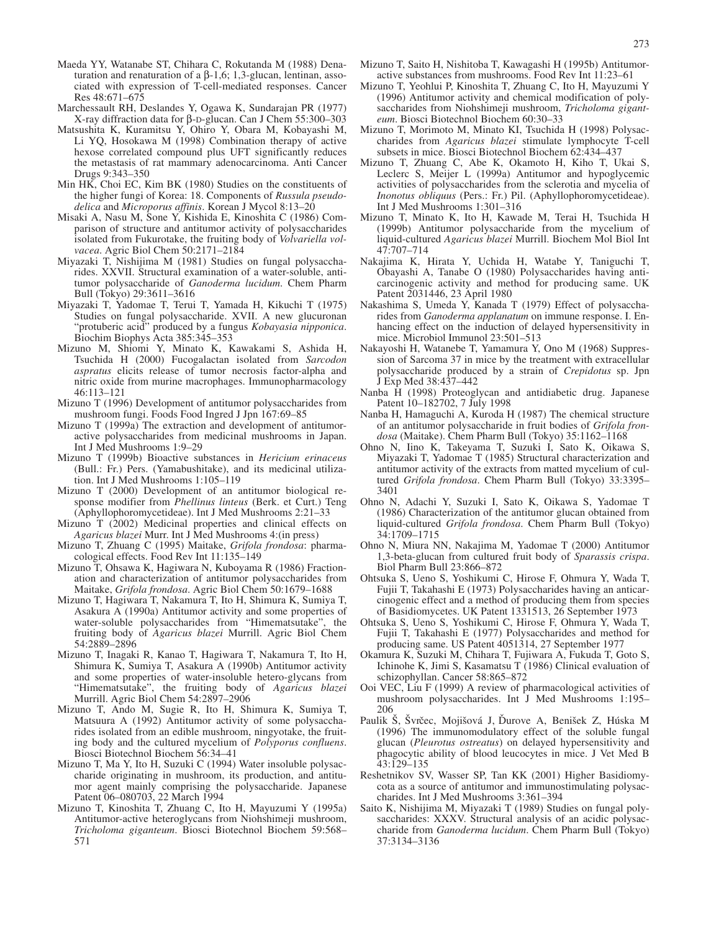- Maeda YY, Watanabe ST, Chihara C, Rokutanda M (1988) Denaturation and renaturation of a β-1,6; 1,3-glucan, lentinan, associated with expression of T-cell-mediated responses. Cancer Res 48:671–675
- Marchessault RH, Deslandes Y, Ogawa K, Sundarajan PR (1977) X-ray diffraction data for β-D-glucan. Can J Chem 55:300–303
- Matsushita K, Kuramitsu Y, Ohiro Y, Obara M, Kobayashi M, Li YQ, Hosokawa M (1998) Combination therapy of active hexose correlated compound plus UFT significantly reduces the metastasis of rat mammary adenocarcinoma. Anti Cancer Drugs 9:343–350
- Min HK, Choi EC, Kim BK (1980) Studies on the constituents of the higher fungi of Korea: 18. Components of *Russula pseudodelica* and *Microporus affinis*. Korean J Mycol 8:13–20
- Misaki A, Nasu M, Sone Y, Kishida E, Kinoshita C (1986) Comparison of structure and antitumor activity of polysaccharides isolated from Fukurotake, the fruiting body of *Volvariella volvacea*. Agric Biol Chem 50:2171–2184
- Miyazaki T, Nishijima M (1981) Studies on fungal polysaccharides. XXVII. Structural examination of a water-soluble, antitumor polysaccharide of *Ganoderma lucidum*. Chem Pharm Bull (Tokyo) 29:3611–3616
- Miyazaki T, Yadomae T, Terui T, Yamada H, Kikuchi T (1975) Studies on fungal polysaccharide. XVII. A new glucuronan "protuberic acid" produced by a fungus *Kobayasia nipponica*. Biochim Biophys Acta 385:345–353
- Mizuno M, Shiomi Y, Minato K, Kawakami S, Ashida H, Tsuchida H (2000) Fucogalactan isolated from *Sarcodon aspratus* elicits release of tumor necrosis factor-alpha and nitric oxide from murine macrophages. Immunopharmacology 46:113–121
- Mizuno T (1996) Development of antitumor polysaccharides from mushroom fungi. Foods Food Ingred J Jpn 167:69–85
- Mizuno T (1999a) The extraction and development of antitumoractive polysaccharides from medicinal mushrooms in Japan. Int J Med Mushrooms 1:9–29
- Mizuno T (1999b) Bioactive substances in *Hericium erinaceus* (Bull.: Fr.) Pers. (Yamabushitake), and its medicinal utilization. Int J Med Mushrooms 1:105–119
- Mizuno T (2000) Development of an antitumor biological response modifier from *Phellinus linteus* (Berk. et Curt.) Teng (Aphyllophoromycetideae). Int J Med Mushrooms 2:21–33
- Mizuno T (2002) Medicinal properties and clinical effects on *Agaricus blazei* Murr. Int J Med Mushrooms 4:(in press)
- Mizuno T, Zhuang C (1995) Maitake, *Grifola frondosa*: pharmacological effects. Food Rev Int 11:135–149
- Mizuno T, Ohsawa K, Hagiwara N, Kuboyama R (1986) Fractionation and characterization of antitumor polysaccharides from Maitake, *Grifola frondosa*. Agric Biol Chem 50:1679–1688
- Mizuno T, Hagiwara T, Nakamura T, Ito H, Shimura K, Sumiya T, Asakura A (1990a) Antitumor activity and some properties of water-soluble polysaccharides from "Himematsutake", the fruiting body of *Agaricus blazei* Murrill. Agric Biol Chem 54:2889–2896
- Mizuno T, Inagaki R, Kanao T, Hagiwara T, Nakamura T, Ito H, Shimura K, Sumiya T, Asakura A (1990b) Antitumor activity and some properties of water-insoluble hetero-glycans from "Himematsutake", the fruiting body of *Agaricus blazei* Murrill. Agric Biol Chem 54:2897–2906
- Mizuno T, Ando M, Sugie R, Ito H, Shimura K, Sumiya T, Matsuura A (1992) Antitumor activity of some polysaccharides isolated from an edible mushroom, ningyotake, the fruiting body and the cultured mycelium of *Polyporus confluens*. Biosci Biotechnol Biochem 56:34–41
- Mizuno T, Ma Y, Ito H, Suzuki C (1994) Water insoluble polysaccharide originating in mushroom, its production, and antitumor agent mainly comprising the polysaccharide. Japanese Patent 06–080703, 22 March 1994
- Mizuno T, Kinoshita T, Zhuang C, Ito H, Mayuzumi Y (1995a) Antitumor-active heteroglycans from Niohshimeji mushroom, *Tricholoma giganteum*. Biosci Biotechnol Biochem 59:568– 571
- Mizuno T, Saito H, Nishitoba T, Kawagashi H (1995b) Antitumoractive substances from mushrooms. Food Rev Int 11:23–61
- Mizuno T, Yeohlui P, Kinoshita T, Zhuang C, Ito H, Mayuzumi Y (1996) Antitumor activity and chemical modification of polysaccharides from Niohshimeji mushroom, *Tricholoma giganteum*. Biosci Biotechnol Biochem 60:30–33
- Mizuno T, Morimoto M, Minato KI, Tsuchida H (1998) Polysaccharides from *Agaricus blazei* stimulate lymphocyte T-cell subsets in mice. Biosci Biotechnol Biochem 62:434–437
- Mizuno T, Zhuang C, Abe K, Okamoto H, Kiho T, Ukai S, Leclerc S, Meijer L (1999a) Antitumor and hypoglycemic activities of polysaccharides from the sclerotia and mycelia of *Inonotus obliquus* (Pers.: Fr.) Pil. (Aphyllophoromycetideae). Int J Med Mushrooms 1:301–316
- Mizuno T, Minato K, Ito H, Kawade M, Terai H, Tsuchida H (1999b) Antitumor polysaccharide from the mycelium of liquid-cultured *Agaricus blazei* Murrill. Biochem Mol Biol Int 47:707–714
- Nakajima K, Hirata Y, Uchida H, Watabe Y, Taniguchi T, Obayashi A, Tanabe O (1980) Polysaccharides having anticarcinogenic activity and method for producing same. UK Patent 2031446, 23 April 1980
- Nakashima S, Umeda Y, Kanada T (1979) Effect of polysaccharides from *Ganoderma applanatum* on immune response. I. Enhancing effect on the induction of delayed hypersensitivity in mice. Microbiol Immunol 23:501–513
- Nakayoshi H, Watanebe T, Yamamura Y, Ono M (1968) Suppression of Sarcoma 37 in mice by the treatment with extracellular polysaccharide produced by a strain of *Crepidotus* sp. Jpn J Exp Med 38:437–442
- Nanba H (1998) Proteoglycan and antidiabetic drug. Japanese Patent 10–182702, 7 July 1998
- Nanba H, Hamaguchi A, Kuroda H (1987) The chemical structure of an antitumor polysaccharide in fruit bodies of *Grifola frondosa* (Maitake). Chem Pharm Bull (Tokyo) 35:1162–1168
- Ohno N, Iino K, Takeyama T, Suzuki I, Sato K, Oikawa S, Miyazaki T, Yadomae T (1985) Structural characterization and antitumor activity of the extracts from matted mycelium of cultured *Grifola frondosa*. Chem Pharm Bull (Tokyo) 33:3395– 3401
- Ohno N, Adachi Y, Suzuki I, Sato K, Oikawa S, Yadomae T (1986) Characterization of the antitumor glucan obtained from liquid-cultured *Grifola frondosa*. Chem Pharm Bull (Tokyo) 34:1709–1715
- Ohno N, Miura NN, Nakajima M, Yadomae T (2000) Antitumor 1,3-beta-glucan from cultured fruit body of *Sparassis crispa*. Biol Pharm Bull 23:866–872
- Ohtsuka S, Ueno S, Yoshikumi C, Hirose F, Ohmura Y, Wada T, Fujii T, Takahashi E (1973) Polysaccharides having an anticarcinogenic effect and a method of producing them from species of Basidiomycetes. UK Patent 1331513, 26 September 1973
- Ohtsuka S, Ueno S, Yoshikumi C, Hirose F, Ohmura Y, Wada T, Fujii T, Takahashi E (1977) Polysaccharides and method for producing same. US Patent 4051314, 27 September 1977
- Okamura K, Suzuki M, Chihara T, Fujiwara A, Fukuda T, Goto S, Ichinohe K, Jimi S, Kasamatsu T (1986) Clinical evaluation of schizophyllan. Cancer 58:865–872
- Ooi VEC, Liu F (1999) A review of pharmacological activities of mushroom polysaccharides. Int J Med Mushrooms 1:195– 206
- Paulik Š, Švrčec, Mojišová J, Ďurove A, Benišek Z, Húska M (1996) The immunomodulatory effect of the soluble fungal glucan (*Pleurotus ostreatus*) on delayed hypersensitivity and phagocytic ability of blood leucocytes in mice. J Vet Med B 43:129–135
- Reshetnikov SV, Wasser SP, Tan KK (2001) Higher Basidiomycota as a source of antitumor and immunostimulating polysaccharides. Int J Med Mushrooms 3:361–394
- Saito K, Nishijima M, Miyazaki T (1989) Studies on fungal polysaccharides: XXXV. Structural analysis of an acidic polysaccharide from *Ganoderma lucidum*. Chem Pharm Bull (Tokyo) 37:3134–3136